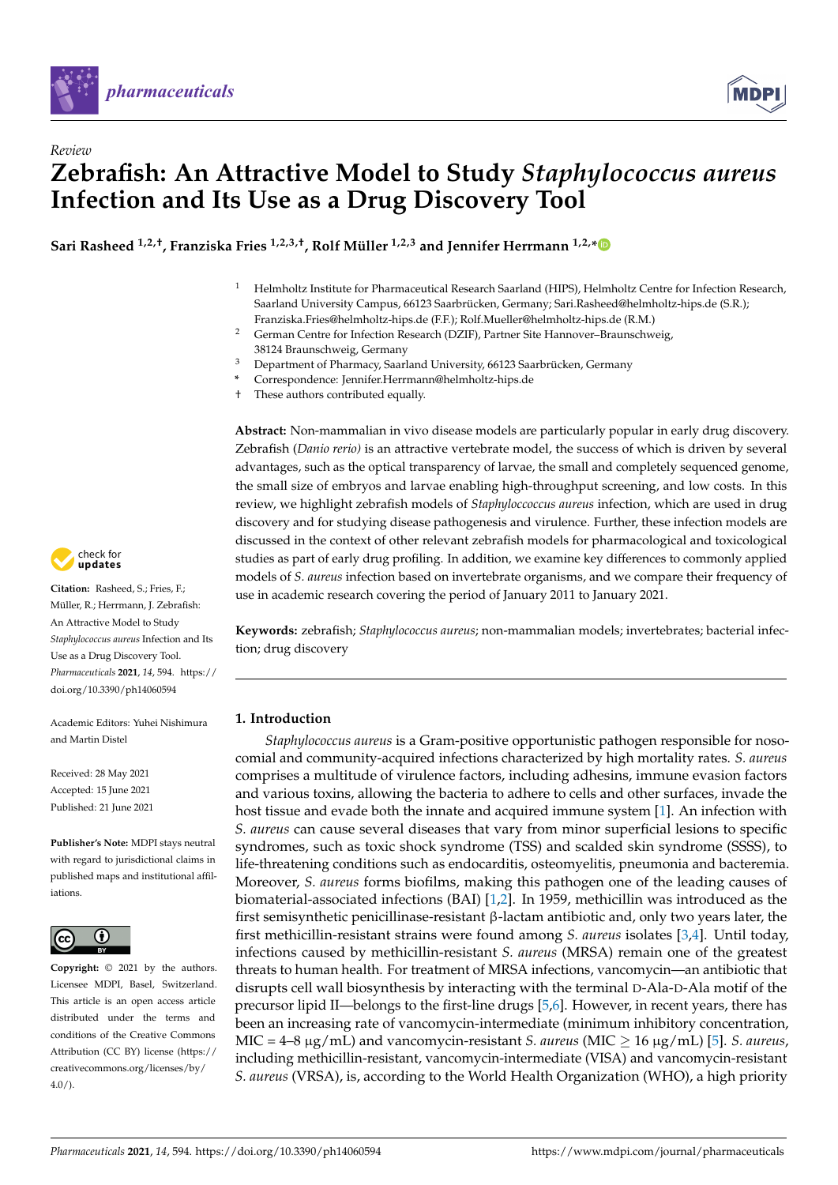



# *Review* **Zebrafish: An Attractive Model to Study** *Staphylococcus aureus* **Infection and Its Use as a Drug Discovery Tool**

**Sari Rasheed 1,2,†, Franziska Fries 1,2,3,†, Rolf Müller 1,2,3 and Jennifer Herrmann 1,2,[\\*](https://orcid.org/0000-0003-3398-9938)**

- <sup>1</sup> Helmholtz Institute for Pharmaceutical Research Saarland (HIPS), Helmholtz Centre for Infection Research, Saarland University Campus, 66123 Saarbrücken, Germany; Sari.Rasheed@helmholtz-hips.de (S.R.); Franziska.Fries@helmholtz-hips.de (F.F.); Rolf.Mueller@helmholtz-hips.de (R.M.)
- <sup>2</sup> German Centre for Infection Research (DZIF), Partner Site Hannover–Braunschweig, 38124 Braunschweig, Germany
- <sup>3</sup> Department of Pharmacy, Saarland University, 66123 Saarbrücken, Germany
- **\*** Correspondence: Jennifer.Herrmann@helmholtz-hips.de
- † These authors contributed equally.

**Abstract:** Non-mammalian in vivo disease models are particularly popular in early drug discovery. Zebrafish (*Danio rerio)* is an attractive vertebrate model, the success of which is driven by several advantages, such as the optical transparency of larvae, the small and completely sequenced genome, the small size of embryos and larvae enabling high-throughput screening, and low costs. In this review, we highlight zebrafish models of *Staphyloccoccus aureus* infection, which are used in drug discovery and for studying disease pathogenesis and virulence. Further, these infection models are discussed in the context of other relevant zebrafish models for pharmacological and toxicological studies as part of early drug profiling. In addition, we examine key differences to commonly applied models of *S. aureus* infection based on invertebrate organisms, and we compare their frequency of use in academic research covering the period of January 2011 to January 2021.

**Keywords:** zebrafish; *Staphylococcus aureus*; non-mammalian models; invertebrates; bacterial infection; drug discovery

## **1. Introduction**

*Staphylococcus aureus* is a Gram-positive opportunistic pathogen responsible for nosocomial and community-acquired infections characterized by high mortality rates. *S. aureus* comprises a multitude of virulence factors, including adhesins, immune evasion factors and various toxins, allowing the bacteria to adhere to cells and other surfaces, invade the host tissue and evade both the innate and acquired immune system [\[1\]](#page-11-0). An infection with *S. aureus* can cause several diseases that vary from minor superficial lesions to specific syndromes, such as toxic shock syndrome (TSS) and scalded skin syndrome (SSSS), to life-threatening conditions such as endocarditis, osteomyelitis, pneumonia and bacteremia. Moreover, *S. aureus* forms biofilms, making this pathogen one of the leading causes of biomaterial-associated infections (BAI) [\[1,](#page-11-0)[2\]](#page-11-1). In 1959, methicillin was introduced as the first semisynthetic penicillinase-resistant β-lactam antibiotic and, only two years later, the first methicillin-resistant strains were found among *S. aureus* isolates [\[3,](#page-11-2)[4\]](#page-11-3). Until today, infections caused by methicillin-resistant *S. aureus* (MRSA) remain one of the greatest threats to human health. For treatment of MRSA infections, vancomycin—an antibiotic that disrupts cell wall biosynthesis by interacting with the terminal D-Ala-D-Ala motif of the precursor lipid II—belongs to the first-line drugs [\[5,](#page-11-4)[6\]](#page-11-5). However, in recent years, there has been an increasing rate of vancomycin-intermediate (minimum inhibitory concentration, MIC =  $4-8 \mu g/mL$ ) and vancomycin-resistant *S. aureus* (MIC  $\geq 16 \mu g/mL$  [\[5\]](#page-11-4). *S. aureus*, including methicillin-resistant, vancomycin-intermediate (VISA) and vancomycin-resistant *S. aureus* (VRSA), is, according to the World Health Organization (WHO), a high priority



**Citation:** Rasheed, S.; Fries, F.; Müller, R.; Herrmann, J. Zebrafish: An Attractive Model to Study *Staphylococcus aureus* Infection and Its Use as a Drug Discovery Tool. *Pharmaceuticals* **2021**, *14*, 594. [https://](https://doi.org/10.3390/ph14060594) [doi.org/10.3390/ph14060594](https://doi.org/10.3390/ph14060594)

Academic Editors: Yuhei Nishimura and Martin Distel

Received: 28 May 2021 Accepted: 15 June 2021 Published: 21 June 2021

**Publisher's Note:** MDPI stays neutral with regard to jurisdictional claims in published maps and institutional affiliations.



**Copyright:** © 2021 by the authors. Licensee MDPI, Basel, Switzerland. This article is an open access article distributed under the terms and conditions of the Creative Commons Attribution (CC BY) license (https:/[/](https://creativecommons.org/licenses/by/4.0/) [creativecommons.org/licenses/by/](https://creativecommons.org/licenses/by/4.0/)  $4.0/$ ).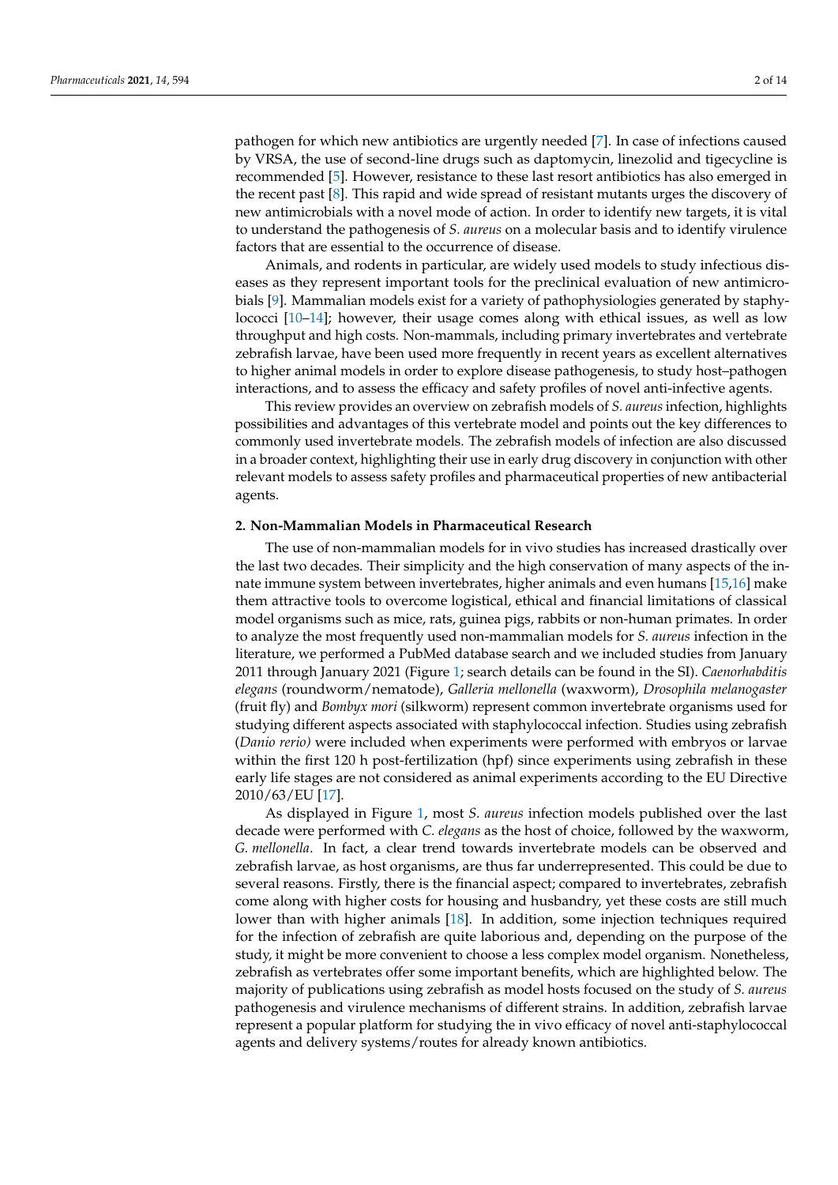pathogen for which new antibiotics are urgently needed [\[7\]](#page-11-6). In case of infections caused by VRSA, the use of second-line drugs such as daptomycin, linezolid and tigecycline is recommended [\[5\]](#page-11-4). However, resistance to these last resort antibiotics has also emerged in the recent past [\[8\]](#page-11-7). This rapid and wide spread of resistant mutants urges the discovery of new antimicrobials with a novel mode of action. In order to identify new targets, it is vital to understand the pathogenesis of *S. aureus* on a molecular basis and to identify virulence factors that are essential to the occurrence of disease.

Animals, and rodents in particular, are widely used models to study infectious diseases as they represent important tools for the preclinical evaluation of new antimicrobials [\[9\]](#page-11-8). Mammalian models exist for a variety of pathophysiologies generated by staphylococci [\[10–](#page-11-9)[14\]](#page-11-10); however, their usage comes along with ethical issues, as well as low throughput and high costs. Non-mammals, including primary invertebrates and vertebrate zebrafish larvae, have been used more frequently in recent years as excellent alternatives to higher animal models in order to explore disease pathogenesis, to study host–pathogen interactions, and to assess the efficacy and safety profiles of novel anti-infective agents.

This review provides an overview on zebrafish models of *S. aureus* infection, highlights possibilities and advantages of this vertebrate model and points out the key differences to commonly used invertebrate models. The zebrafish models of infection are also discussed in a broader context, highlighting their use in early drug discovery in conjunction with other relevant models to assess safety profiles and pharmaceutical properties of new antibacterial agents.

## **2. Non-Mammalian Models in Pharmaceutical Research**

The use of non-mammalian models for in vivo studies has increased drastically over the last two decades. Their simplicity and the high conservation of many aspects of the innate immune system between invertebrates, higher animals and even humans [\[15,](#page-11-11)[16\]](#page-11-12) make them attractive tools to overcome logistical, ethical and financial limitations of classical model organisms such as mice, rats, guinea pigs, rabbits or non-human primates. In order to analyze the most frequently used non-mammalian models for *S. aureus* infection in the literature, we performed a PubMed database search and we included studies from January 2011 through January 2021 (Figure [1;](#page-2-0) search details can be found in the SI). *Caenorhabditis elegans* (roundworm/nematode), *Galleria mellonella* (waxworm), *Drosophila melanogaster* (fruit fly) and *Bombyx mori* (silkworm) represent common invertebrate organisms used for studying different aspects associated with staphylococcal infection. Studies using zebrafish (*Danio rerio)* were included when experiments were performed with embryos or larvae within the first 120 h post-fertilization (hpf) since experiments using zebrafish in these early life stages are not considered as animal experiments according to the EU Directive 2010/63/EU [\[17\]](#page-11-13).

As displayed in Figure [1,](#page-2-0) most *S. aureus* infection models published over the last decade were performed with *C. elegans* as the host of choice, followed by the waxworm, *G. mellonella*. In fact, a clear trend towards invertebrate models can be observed and zebrafish larvae, as host organisms, are thus far underrepresented. This could be due to several reasons. Firstly, there is the financial aspect; compared to invertebrates, zebrafish come along with higher costs for housing and husbandry, yet these costs are still much lower than with higher animals [\[18\]](#page-11-14). In addition, some injection techniques required for the infection of zebrafish are quite laborious and, depending on the purpose of the study, it might be more convenient to choose a less complex model organism. Nonetheless, zebrafish as vertebrates offer some important benefits, which are highlighted below. The majority of publications using zebrafish as model hosts focused on the study of *S. aureus* pathogenesis and virulence mechanisms of different strains. In addition, zebrafish larvae represent a popular platform for studying the in vivo efficacy of novel anti-staphylococcal agents and delivery systems/routes for already known antibiotics.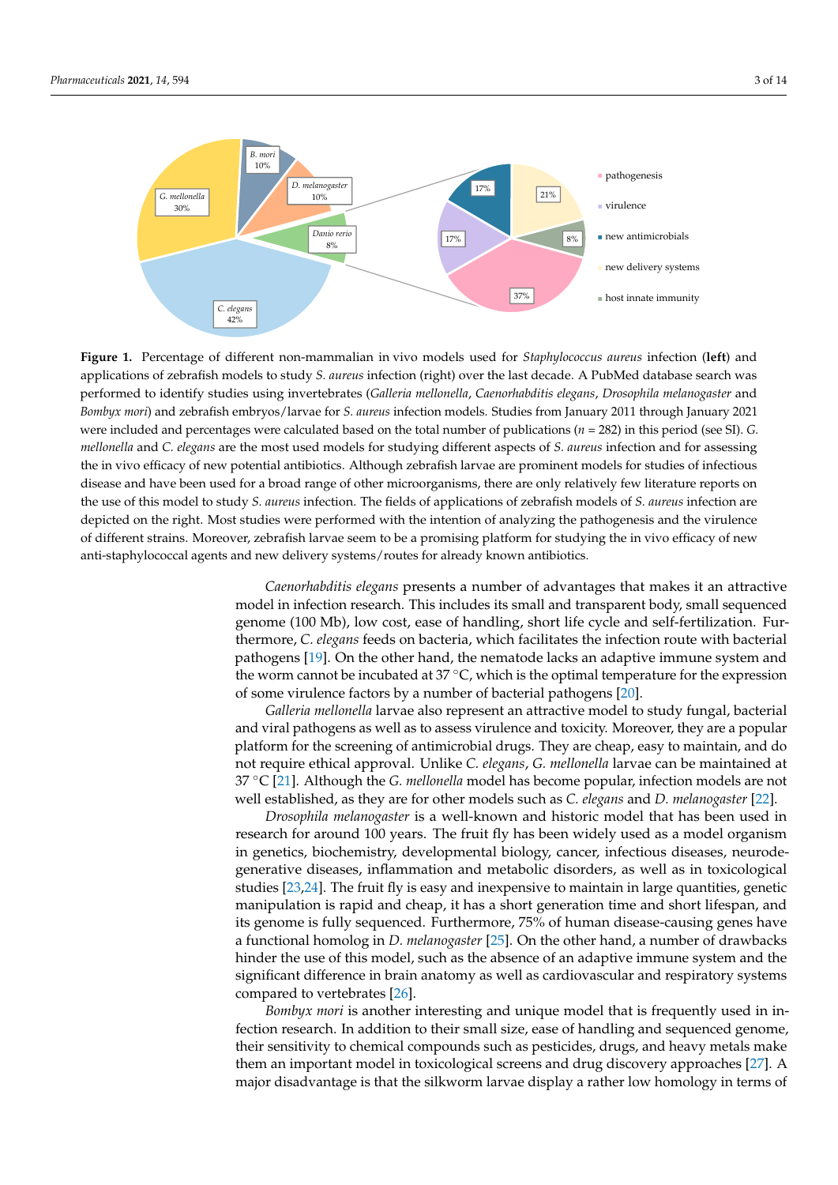<span id="page-2-0"></span>

applications of zebrafish models to study S. *aureus* infection (right) over the last decade. A PubMed database search was performed to identify studies using invertebrates (Gall*eria mellonella, Caenorhabditis elegans, Drosophila melanogaster* and Bombyx mori) and zebrafish embryos/larvae for *S. aureus* infection models. Studies from January 2011 through January 2021 were included and percentages were calculated based on the total number of publications ( $n = 282$ ) in this period (see SI). G. mellonella and C. elegans are the most used models for studying different aspects of S. aureus infection and for assessing the in vivo efficacy of new potential antibiotics. Although zebrafish larvae are prominent models for studies of infectious disease and have been used for a broad range of other microorganisms, there are only relatively few literature reports on the use of this model to study S. aureus infection. The fields of applications of zebrafish models of S. aureus infection are  $\alpha$  is the prominent models for studies of infectious disease and have been used for and have been used for an depicted on the right. Most studies were performed with the intention of analyzing the pathogenesis and the virulence<br>California in the virulence of the virulence of the virulence of the virulence of the virulence of the v of different strains. Moreover, zebrafish larvae seem to be a promising platform for studying the in vivo efficacy of new anti-staphylococcal agents and new delivery systems/routes for already known antibiotics. **Figure 1.** Percentage of different non-mammalian in vivo models used for *Staphylococcus aureus* infection (**left**) and

pathogenesis and the virulence of different strains. Moreover, zebrafish larvae seem to be a prom-Caenorhabditis elegans presents a number of advantages that makes it an attractive model in infection research. This includes its small and transparent body, small sequenced thermore, *C. elegans* feeds on bacteria, which facilitates the infection route with bacterial pathogens [\[19\]](#page-11-15). On the other hand, the nematode lacks an adaptive immune system and the worm cannot be incubated at 37 °C, which is the optimal temperature for the expression of some virulence factors by a number of bacterial pathogens [\[20\]](#page-11-16). genome (100 Mb), low cost, ease of handling, short life cycle and self-fertilization. Fur-

Galleria mellonella larvae also represent an attractive model to study fungal, bacterial and viral pathogens as well as to assess virulence and toxicity. Moreover, they are a popular platform for the screening of antimicrobial drugs. They are cheap, easy to maintain, and do not require ethical approval. Unlike *C. elegans, G. mellonella* larvae can be maintained at 37 °C [\[21\]](#page-11-17). Although the *G. mellonella* model has become popular, infection models are not well established, as they are for other models such as *C. elegans* and *D. melanogaster* [\[22\]](#page-11-18).

*Drosophila melanogaster* is a well-known and historic model that has been used in research for around 100 years. The fruit fly has been widely used as a model organism<br>. in genetics, biochemistry, developmental biology, cancer, infectious diseases, neurode-<br>
<u>In genetics</u>, biochemistry, developmental biology, cancer, infectious diseases, neurodegenerative diseases, inflammation and metabolic disorders, as well as in toxicological<br>distribution in the same of the state of the state of the state of the state of the state of the state of the s  $\frac{1}{2}$  and the metal my is casy and incorpensive to maintain in ange quantities, genere manipulation is rapid and cheap, it has a short generation time and short lifespan, and<br>it is recently fully converged. Furthermore,  $75\%$  of harmore discusses parties were harmore  $\epsilon$  generics, biology, development,  $\epsilon$  and  $\epsilon$  and  $\epsilon$  and  $\epsilon$  and  $\epsilon$  and  $\epsilon$  and  $\epsilon$  and  $\epsilon$  and  $\epsilon$  and  $\epsilon$  and  $\epsilon$  and  $\epsilon$  and  $\epsilon$  and  $\epsilon$  and  $\epsilon$  and  $\epsilon$  and  $\epsilon$  and  $\epsilon$  and  $\epsilon$  and  $\epsilon$  and  $\epsilon$ a functional homolog in *D. melanogaster* [\[25\]](#page-11-21). On the other hand, a number of drawbacks<br>hinder the use of this medal, such as the charges of an edentity immune system, and the  $\frac{1}{2}$  is easy and inexperiment from the frequency of mathematic mathematic mathematic mathematic mathematic mathematic mathematic mathematic mathematic mathematic mathematic mathematic mathematic mathematic mathematic significant difference in brain anatomy as well as cardiovascular and respiratory systems compared to vertebrates [26] studies [\[23](#page-11-19)[,24\]](#page-11-20). The fruit fly is easy and inexpensive to maintain in large quantities, genetic its genome is fully sequenced. Furthermore, 75% of human disease-causing genes have hinder the use of this model, such as the absence of an adaptive immune system and the compared to vertebrates [\[26\]](#page-12-0).

*Bombyx mori* is another interesting and unique model that is frequently used in in-<br>*Bombyx mori* is another interesting and unique model that is frequently used in infunctional metals and drawing measurement in the other hand, a number of the other hand, and sequenced genome, their sensitivity to chemical compounds such as pesticides, drugs, and heavy metals make them an important model in toxicological screens and drug discovery approaches [\[27\]](#page-12-1). A major disadvantage is that the silkworm larvae display a rather low homology in terms of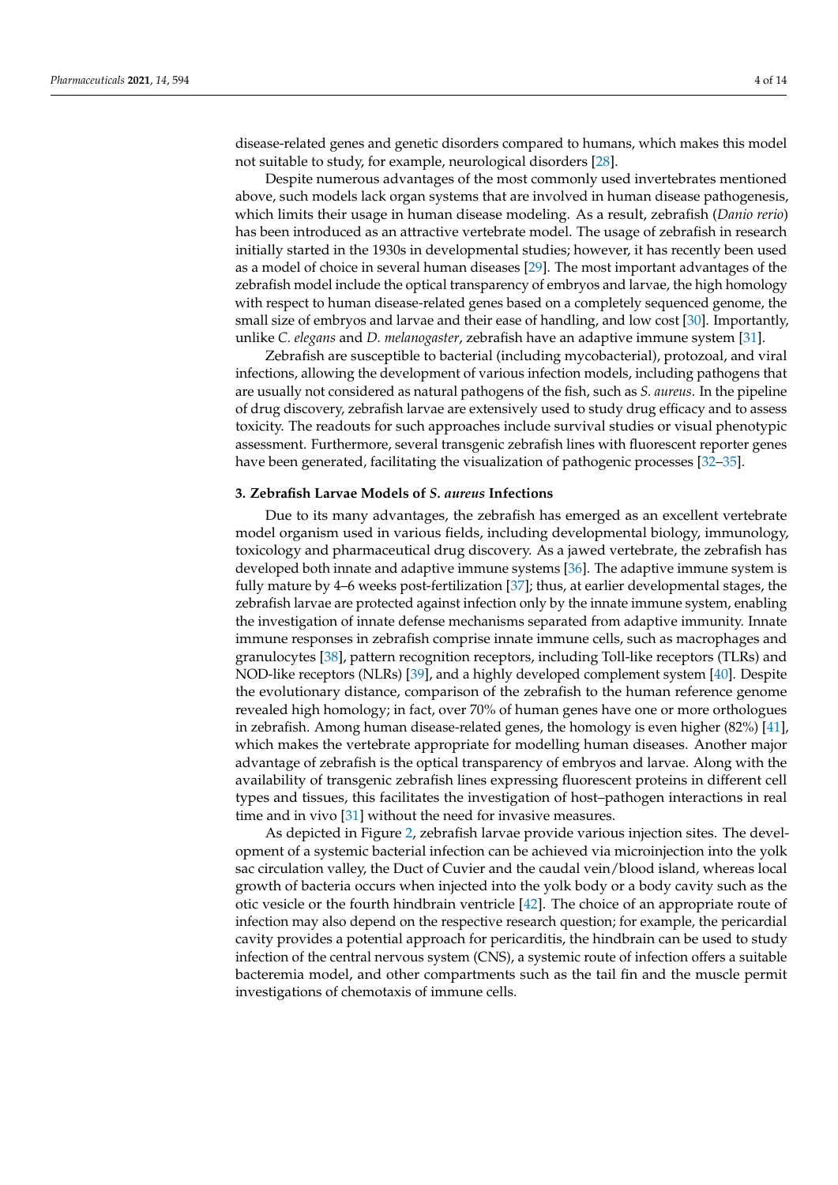disease-related genes and genetic disorders compared to humans, which makes this model not suitable to study, for example, neurological disorders [\[28\]](#page-12-2).

Despite numerous advantages of the most commonly used invertebrates mentioned above, such models lack organ systems that are involved in human disease pathogenesis, which limits their usage in human disease modeling. As a result, zebrafish (*Danio rerio*) has been introduced as an attractive vertebrate model. The usage of zebrafish in research initially started in the 1930s in developmental studies; however, it has recently been used as a model of choice in several human diseases [\[29\]](#page-12-3). The most important advantages of the zebrafish model include the optical transparency of embryos and larvae, the high homology with respect to human disease-related genes based on a completely sequenced genome, the small size of embryos and larvae and their ease of handling, and low cost [\[30\]](#page-12-4). Importantly, unlike *C. elegans* and *D. melanogaster*, zebrafish have an adaptive immune system [\[31\]](#page-12-5).

Zebrafish are susceptible to bacterial (including mycobacterial), protozoal, and viral infections, allowing the development of various infection models, including pathogens that are usually not considered as natural pathogens of the fish, such as *S. aureus*. In the pipeline of drug discovery, zebrafish larvae are extensively used to study drug efficacy and to assess toxicity. The readouts for such approaches include survival studies or visual phenotypic assessment. Furthermore, several transgenic zebrafish lines with fluorescent reporter genes have been generated, facilitating the visualization of pathogenic processes [\[32–](#page-12-6)[35\]](#page-12-7).

#### **3. Zebrafish Larvae Models of** *S. aureus* **Infections**

Due to its many advantages, the zebrafish has emerged as an excellent vertebrate model organism used in various fields, including developmental biology, immunology, toxicology and pharmaceutical drug discovery. As a jawed vertebrate, the zebrafish has developed both innate and adaptive immune systems [\[36\]](#page-12-8). The adaptive immune system is fully mature by 4–6 weeks post-fertilization [\[37\]](#page-12-9); thus, at earlier developmental stages, the zebrafish larvae are protected against infection only by the innate immune system, enabling the investigation of innate defense mechanisms separated from adaptive immunity. Innate immune responses in zebrafish comprise innate immune cells, such as macrophages and granulocytes [\[38\]](#page-12-10), pattern recognition receptors, including Toll-like receptors (TLRs) and NOD-like receptors (NLRs) [\[39\]](#page-12-11), and a highly developed complement system [\[40\]](#page-12-12). Despite the evolutionary distance, comparison of the zebrafish to the human reference genome revealed high homology; in fact, over 70% of human genes have one or more orthologues in zebrafish. Among human disease-related genes, the homology is even higher (82%) [\[41\]](#page-12-13), which makes the vertebrate appropriate for modelling human diseases. Another major advantage of zebrafish is the optical transparency of embryos and larvae. Along with the availability of transgenic zebrafish lines expressing fluorescent proteins in different cell types and tissues, this facilitates the investigation of host–pathogen interactions in real time and in vivo [\[31\]](#page-12-5) without the need for invasive measures.

As depicted in Figure [2,](#page-4-0) zebrafish larvae provide various injection sites. The development of a systemic bacterial infection can be achieved via microinjection into the yolk sac circulation valley, the Duct of Cuvier and the caudal vein/blood island, whereas local growth of bacteria occurs when injected into the yolk body or a body cavity such as the otic vesicle or the fourth hindbrain ventricle [\[42\]](#page-12-14). The choice of an appropriate route of infection may also depend on the respective research question; for example, the pericardial cavity provides a potential approach for pericarditis, the hindbrain can be used to study infection of the central nervous system (CNS), a systemic route of infection offers a suitable bacteremia model, and other compartments such as the tail fin and the muscle permit investigations of chemotaxis of immune cells.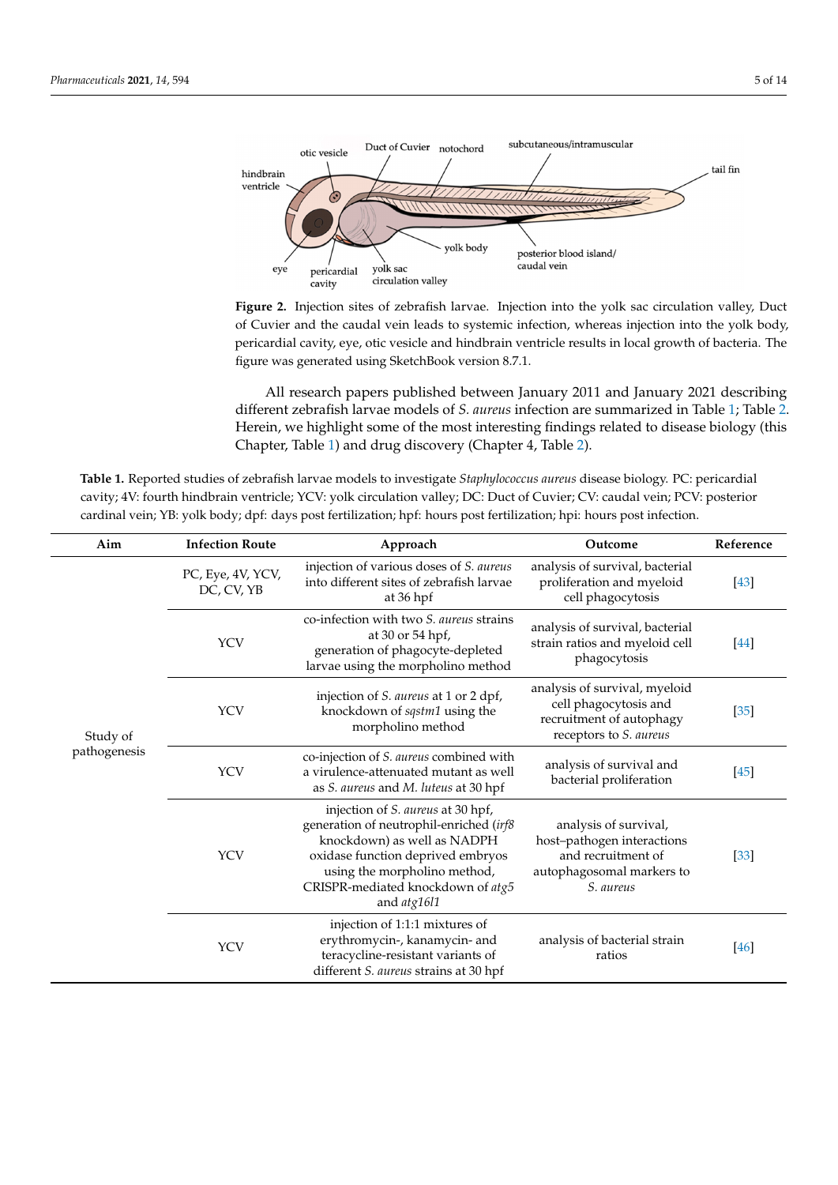<span id="page-4-0"></span>

of Cuvier and the caudal vein leads to systemic infection, whereas injection into the yolk body, pericardial cavity, eye, otic vesicle and hindbrain ventricle results in local growth of bacteria. The  $\frac{1}{2}$ figure was generated using SketchBook version 8.7.1. figure was generated using SketchBook version 8.7.1. **Figure 2.** Injection sites of zebrafish larvae. Injection into the yolk sac circulation valley, Duct

different zebrafish larvae models of *S. aureus* infection are summarized in Table [1;](#page-4-1) Table [2.](#page-8-0) Herein, we highlight some of the most interesting findings related to disease biology (this Chapter, Table 1) and drug discovery (Chapter 4, Table 2). All research papers published between January 2011 and January 2021 describing

<span id="page-4-1"></span>Table 1. Reported studies of zebrafish larvae models to investigate *Staphylococcus aureus* disease biology. PC: pericardial cavity; 4V: fourth hindbrain ventricle; YCV: yolk circulation valley; DC: Duct of Cuvier; CV: caudal vein; PCV: posterior cardinal vein; YB: yolk body; dpf: days post fertilization; hpf: hours post fertilization; hpi: hours post infection.

permit investigations of chemotaxis of immune cells.

| Aim                      | <b>Infection Route</b>          | Approach                                                                                                                                                                                                                             | Outcome                                                                                                             | Reference |
|--------------------------|---------------------------------|--------------------------------------------------------------------------------------------------------------------------------------------------------------------------------------------------------------------------------------|---------------------------------------------------------------------------------------------------------------------|-----------|
| Study of<br>pathogenesis | PC, Eye, 4V, YCV,<br>DC, CV, YB | injection of various doses of S. aureus<br>into different sites of zebrafish larvae<br>at 36 hpf                                                                                                                                     | analysis of survival, bacterial<br>proliferation and myeloid<br>cell phagocytosis                                   | $[43]$    |
|                          | <b>YCV</b>                      | co-infection with two S. aureus strains<br>at 30 or 54 hpf,<br>generation of phagocyte-depleted<br>larvae using the morpholino method                                                                                                | analysis of survival, bacterial<br>strain ratios and myeloid cell<br>phagocytosis                                   | $[44]$    |
|                          | <b>YCV</b>                      | injection of S. aureus at 1 or 2 dpf,<br>knockdown of sqstm1 using the<br>morpholino method                                                                                                                                          | analysis of survival, myeloid<br>cell phagocytosis and<br>recruitment of autophagy<br>receptors to S. aureus        | $[35]$    |
|                          | <b>YCV</b>                      | co-injection of S. aureus combined with<br>a virulence-attenuated mutant as well<br>as S. aureus and M. luteus at 30 hpf                                                                                                             | analysis of survival and<br>bacterial proliferation                                                                 | $[45]$    |
|                          | <b>YCV</b>                      | injection of S. aureus at 30 hpf,<br>generation of neutrophil-enriched (irf8<br>knockdown) as well as NADPH<br>oxidase function deprived embryos<br>using the morpholino method,<br>CRISPR-mediated knockdown of atg5<br>and atg16l1 | analysis of survival,<br>host-pathogen interactions<br>and recruitment of<br>autophagosomal markers to<br>S. aureus | $[33]$    |
|                          | <b>YCV</b>                      | injection of 1:1:1 mixtures of<br>erythromycin-, kanamycin- and<br>teracycline-resistant variants of<br>different S. aureus strains at 30 hpf                                                                                        | analysis of bacterial strain<br>ratios                                                                              | [46]      |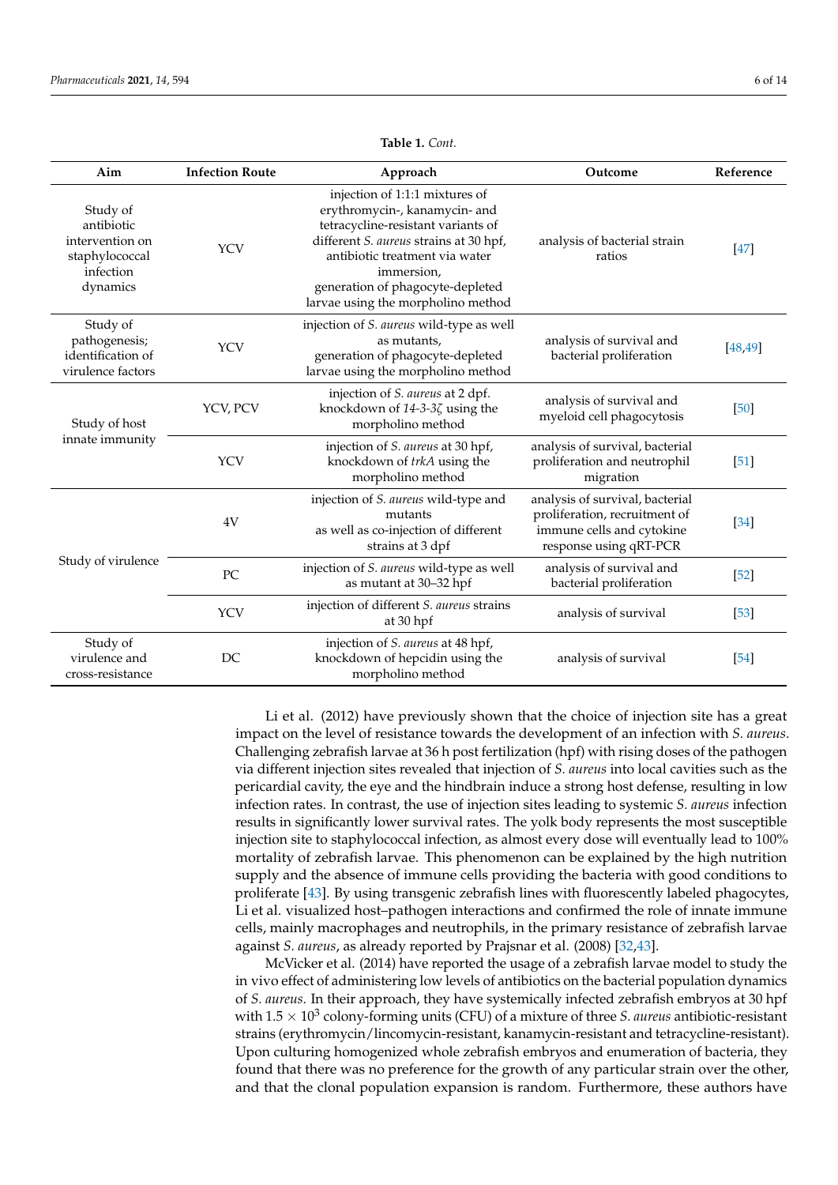| Aim                                                                                  | <b>Infection Route</b> | Approach                                                                                                                                                                                                                                                                  | Outcome                                                                                                                 | Reference |
|--------------------------------------------------------------------------------------|------------------------|---------------------------------------------------------------------------------------------------------------------------------------------------------------------------------------------------------------------------------------------------------------------------|-------------------------------------------------------------------------------------------------------------------------|-----------|
| Study of<br>antibiotic<br>intervention on<br>staphylococcal<br>infection<br>dynamics | <b>YCV</b>             | injection of 1:1:1 mixtures of<br>erythromycin-, kanamycin- and<br>tetracycline-resistant variants of<br>different S. aureus strains at 30 hpf,<br>antibiotic treatment via water<br>immersion,<br>generation of phagocyte-depleted<br>larvae using the morpholino method | analysis of bacterial strain<br>ratios                                                                                  | $[47]$    |
| Study of<br>pathogenesis;<br>identification of<br>virulence factors                  | <b>YCV</b>             | injection of S. aureus wild-type as well<br>as mutants,<br>generation of phagocyte-depleted<br>larvae using the morpholino method                                                                                                                                         | analysis of survival and<br>bacterial proliferation                                                                     | [48, 49]  |
| Study of host<br>innate immunity                                                     | YCV, PCV               | injection of S. aureus at 2 dpf.<br>knockdown of $14-3-3\zeta$ using the<br>morpholino method                                                                                                                                                                             | analysis of survival and<br>myeloid cell phagocytosis                                                                   | [50]      |
|                                                                                      | <b>YCV</b>             | injection of S. aureus at 30 hpf,<br>knockdown of trkA using the<br>morpholino method                                                                                                                                                                                     | analysis of survival, bacterial<br>proliferation and neutrophil<br>migration                                            | $[51]$    |
| Study of virulence                                                                   | 4V                     | injection of S. aureus wild-type and<br>mutants<br>as well as co-injection of different<br>strains at 3 dpf                                                                                                                                                               | analysis of survival, bacterial<br>proliferation, recruitment of<br>immune cells and cytokine<br>response using qRT-PCR | $[34]$    |
|                                                                                      | PC                     | injection of S. aureus wild-type as well<br>as mutant at 30-32 hpf                                                                                                                                                                                                        | analysis of survival and<br>bacterial proliferation                                                                     | $[52]$    |
|                                                                                      | <b>YCV</b>             | injection of different S. aureus strains<br>at 30 hpf                                                                                                                                                                                                                     | analysis of survival                                                                                                    | $[53]$    |
| Study of<br>virulence and<br>cross-resistance                                        | DC                     | injection of S. aureus at 48 hpf,<br>knockdown of hepcidin using the<br>morpholino method                                                                                                                                                                                 | analysis of survival                                                                                                    | $[54]$    |

**Table 1.** *Cont.*

Li et al. (2012) have previously shown that the choice of injection site has a great impact on the level of resistance towards the development of an infection with *S. aureus*. Challenging zebrafish larvae at 36 h post fertilization (hpf) with rising doses of the pathogen via different injection sites revealed that injection of *S. aureus* into local cavities such as the pericardial cavity, the eye and the hindbrain induce a strong host defense, resulting in low infection rates. In contrast, the use of injection sites leading to systemic *S. aureus* infection results in significantly lower survival rates. The yolk body represents the most susceptible injection site to staphylococcal infection, as almost every dose will eventually lead to 100% mortality of zebrafish larvae. This phenomenon can be explained by the high nutrition supply and the absence of immune cells providing the bacteria with good conditions to proliferate [\[43\]](#page-12-15). By using transgenic zebrafish lines with fluorescently labeled phagocytes, Li et al. visualized host–pathogen interactions and confirmed the role of innate immune cells, mainly macrophages and neutrophils, in the primary resistance of zebrafish larvae against *S. aureus*, as already reported by Prajsnar et al. (2008) [\[32,](#page-12-6)[43\]](#page-12-15).

McVicker et al. (2014) have reported the usage of a zebrafish larvae model to study the in vivo effect of administering low levels of antibiotics on the bacterial population dynamics of *S. aureus*. In their approach, they have systemically infected zebrafish embryos at 30 hpf with  $1.5 \times 10^3$  colony-forming units (CFU) of a mixture of three *S. aureus* antibiotic-resistant strains (erythromycin/lincomycin-resistant, kanamycin-resistant and tetracycline-resistant). Upon culturing homogenized whole zebrafish embryos and enumeration of bacteria, they found that there was no preference for the growth of any particular strain over the other, and that the clonal population expansion is random. Furthermore, these authors have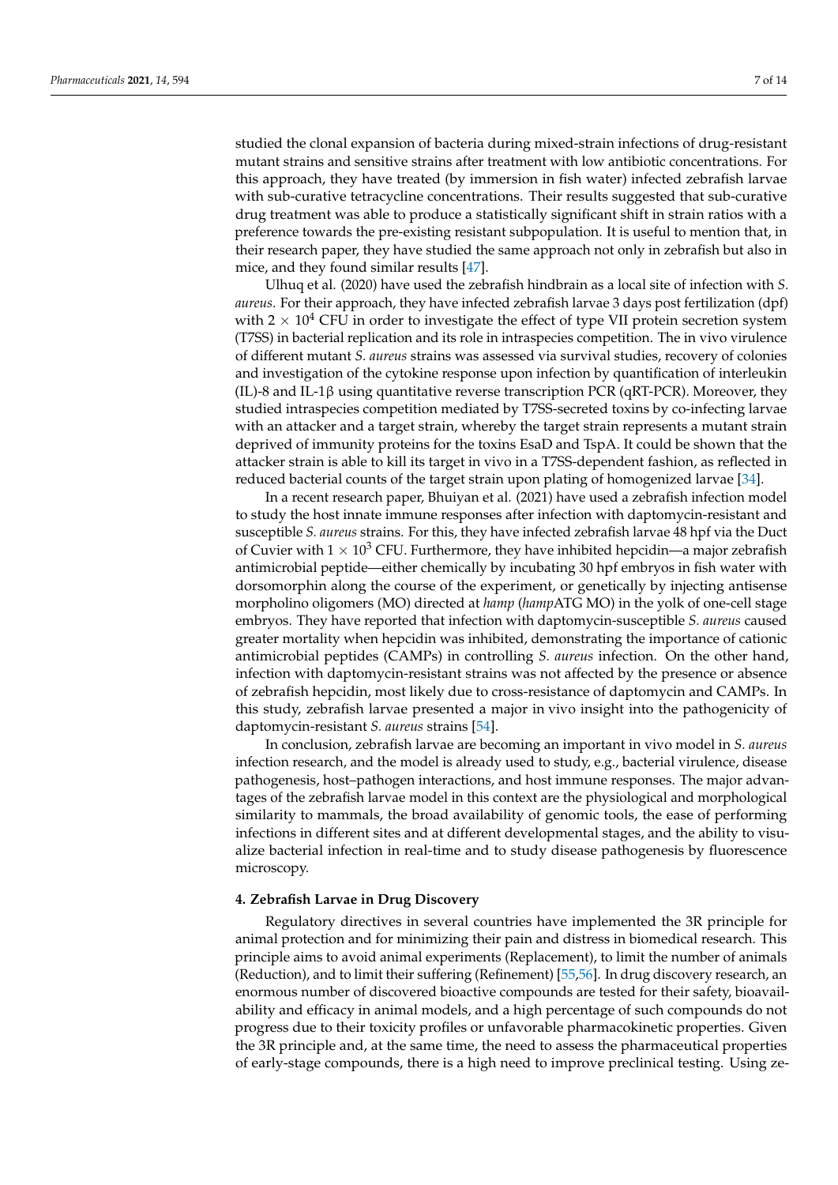studied the clonal expansion of bacteria during mixed-strain infections of drug-resistant mutant strains and sensitive strains after treatment with low antibiotic concentrations. For this approach, they have treated (by immersion in fish water) infected zebrafish larvae with sub-curative tetracycline concentrations. Their results suggested that sub-curative drug treatment was able to produce a statistically significant shift in strain ratios with a preference towards the pre-existing resistant subpopulation. It is useful to mention that, in their research paper, they have studied the same approach not only in zebrafish but also in mice, and they found similar results [\[47\]](#page-12-20).

Ulhuq et al. (2020) have used the zebrafish hindbrain as a local site of infection with *S. aureus*. For their approach, they have infected zebrafish larvae 3 days post fertilization (dpf) with  $2 \times 10^4$  CFU in order to investigate the effect of type VII protein secretion system (T7SS) in bacterial replication and its role in intraspecies competition. The in vivo virulence of different mutant *S. aureus* strains was assessed via survival studies, recovery of colonies and investigation of the cytokine response upon infection by quantification of interleukin (IL)-8 and IL-1β using quantitative reverse transcription PCR (qRT-PCR). Moreover, they studied intraspecies competition mediated by T7SS-secreted toxins by co-infecting larvae with an attacker and a target strain, whereby the target strain represents a mutant strain deprived of immunity proteins for the toxins EsaD and TspA. It could be shown that the attacker strain is able to kill its target in vivo in a T7SS-dependent fashion, as reflected in reduced bacterial counts of the target strain upon plating of homogenized larvae [\[34\]](#page-12-24).

In a recent research paper, Bhuiyan et al. (2021) have used a zebrafish infection model to study the host innate immune responses after infection with daptomycin-resistant and susceptible *S. aureus* strains. For this, they have infected zebrafish larvae 48 hpf via the Duct of Cuvier with  $1 \times 10^3$  CFU. Furthermore, they have inhibited hepcidin—a major zebrafish antimicrobial peptide—either chemically by incubating 30 hpf embryos in fish water with dorsomorphin along the course of the experiment, or genetically by injecting antisense morpholino oligomers (MO) directed at *hamp* (*hamp*ATG MO) in the yolk of one-cell stage embryos. They have reported that infection with daptomycin-susceptible *S. aureus* caused greater mortality when hepcidin was inhibited, demonstrating the importance of cationic antimicrobial peptides (CAMPs) in controlling *S. aureus* infection. On the other hand, infection with daptomycin-resistant strains was not affected by the presence or absence of zebrafish hepcidin, most likely due to cross-resistance of daptomycin and CAMPs. In this study, zebrafish larvae presented a major in vivo insight into the pathogenicity of daptomycin-resistant *S. aureus* strains [\[54\]](#page-13-3).

In conclusion, zebrafish larvae are becoming an important in vivo model in *S. aureus* infection research, and the model is already used to study, e.g., bacterial virulence, disease pathogenesis, host–pathogen interactions, and host immune responses. The major advantages of the zebrafish larvae model in this context are the physiological and morphological similarity to mammals, the broad availability of genomic tools, the ease of performing infections in different sites and at different developmental stages, and the ability to visualize bacterial infection in real-time and to study disease pathogenesis by fluorescence microscopy.

# **4. Zebrafish Larvae in Drug Discovery**

Regulatory directives in several countries have implemented the 3R principle for animal protection and for minimizing their pain and distress in biomedical research. This principle aims to avoid animal experiments (Replacement), to limit the number of animals (Reduction), and to limit their suffering (Refinement) [\[55](#page-13-4)[,56\]](#page-13-5). In drug discovery research, an enormous number of discovered bioactive compounds are tested for their safety, bioavailability and efficacy in animal models, and a high percentage of such compounds do not progress due to their toxicity profiles or unfavorable pharmacokinetic properties. Given the 3R principle and, at the same time, the need to assess the pharmaceutical properties of early-stage compounds, there is a high need to improve preclinical testing. Using ze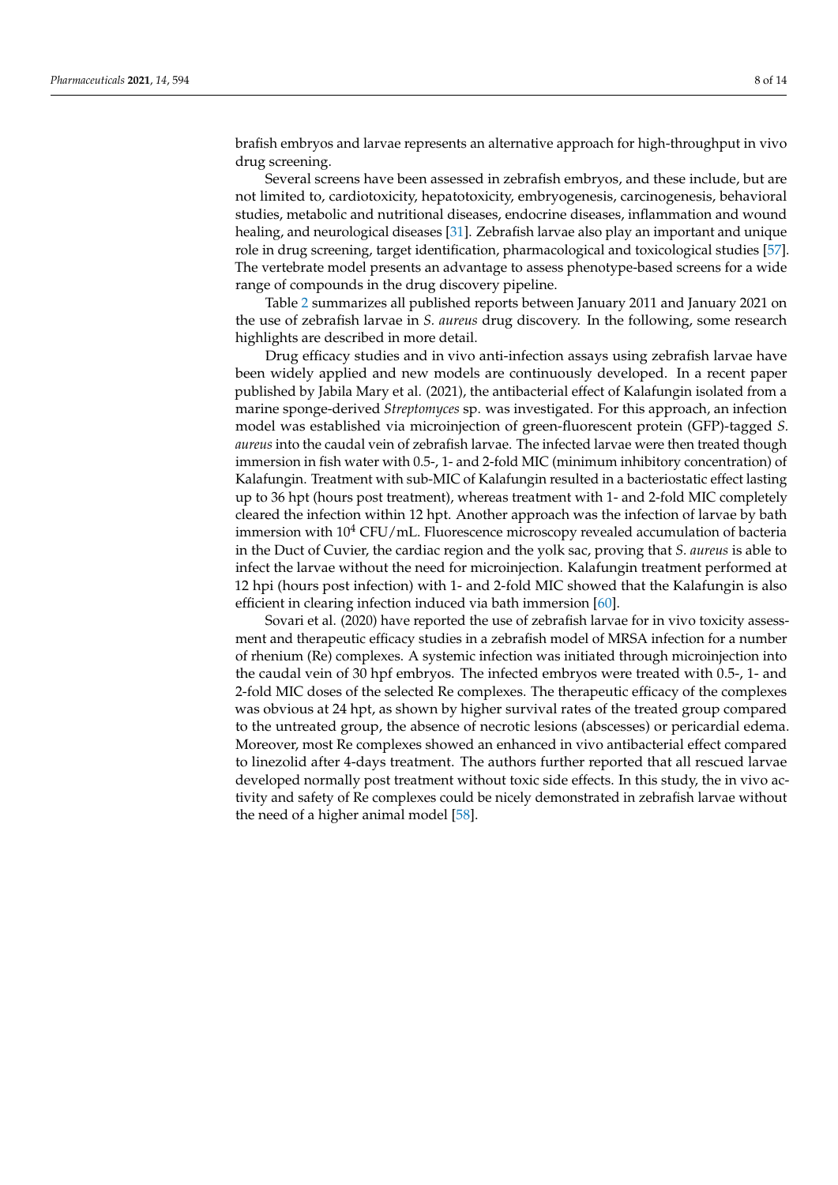brafish embryos and larvae represents an alternative approach for high-throughput in vivo drug screening.

Several screens have been assessed in zebrafish embryos, and these include, but are not limited to, cardiotoxicity, hepatotoxicity, embryogenesis, carcinogenesis, behavioral studies, metabolic and nutritional diseases, endocrine diseases, inflammation and wound healing, and neurological diseases [\[31\]](#page-12-5). Zebrafish larvae also play an important and unique role in drug screening, target identification, pharmacological and toxicological studies [\[57\]](#page-13-6). The vertebrate model presents an advantage to assess phenotype-based screens for a wide range of compounds in the drug discovery pipeline.

Table [2](#page-8-0) summarizes all published reports between January 2011 and January 2021 on the use of zebrafish larvae in *S. aureus* drug discovery. In the following, some research highlights are described in more detail.

Drug efficacy studies and in vivo anti-infection assays using zebrafish larvae have been widely applied and new models are continuously developed. In a recent paper published by Jabila Mary et al. (2021), the antibacterial effect of Kalafungin isolated from a marine sponge-derived *Streptomyces* sp. was investigated. For this approach, an infection model was established via microinjection of green-fluorescent protein (GFP)-tagged *S. aureus* into the caudal vein of zebrafish larvae. The infected larvae were then treated though immersion in fish water with 0.5-, 1- and 2-fold MIC (minimum inhibitory concentration) of Kalafungin. Treatment with sub-MIC of Kalafungin resulted in a bacteriostatic effect lasting up to 36 hpt (hours post treatment), whereas treatment with 1- and 2-fold MIC completely cleared the infection within 12 hpt. Another approach was the infection of larvae by bath immersion with  $10^4$  CFU/mL. Fluorescence microscopy revealed accumulation of bacteria in the Duct of Cuvier, the cardiac region and the yolk sac, proving that *S. aureus* is able to infect the larvae without the need for microinjection. Kalafungin treatment performed at 12 hpi (hours post infection) with 1- and 2-fold MIC showed that the Kalafungin is also efficient in clearing infection induced via bath immersion [\[60\]](#page-13-7).

Sovari et al. (2020) have reported the use of zebrafish larvae for in vivo toxicity assessment and therapeutic efficacy studies in a zebrafish model of MRSA infection for a number of rhenium (Re) complexes. A systemic infection was initiated through microinjection into the caudal vein of 30 hpf embryos. The infected embryos were treated with 0.5-, 1- and 2-fold MIC doses of the selected Re complexes. The therapeutic efficacy of the complexes was obvious at 24 hpt, as shown by higher survival rates of the treated group compared to the untreated group, the absence of necrotic lesions (abscesses) or pericardial edema. Moreover, most Re complexes showed an enhanced in vivo antibacterial effect compared to linezolid after 4-days treatment. The authors further reported that all rescued larvae developed normally post treatment without toxic side effects. In this study, the in vivo activity and safety of Re complexes could be nicely demonstrated in zebrafish larvae without the need of a higher animal model [\[58\]](#page-13-8).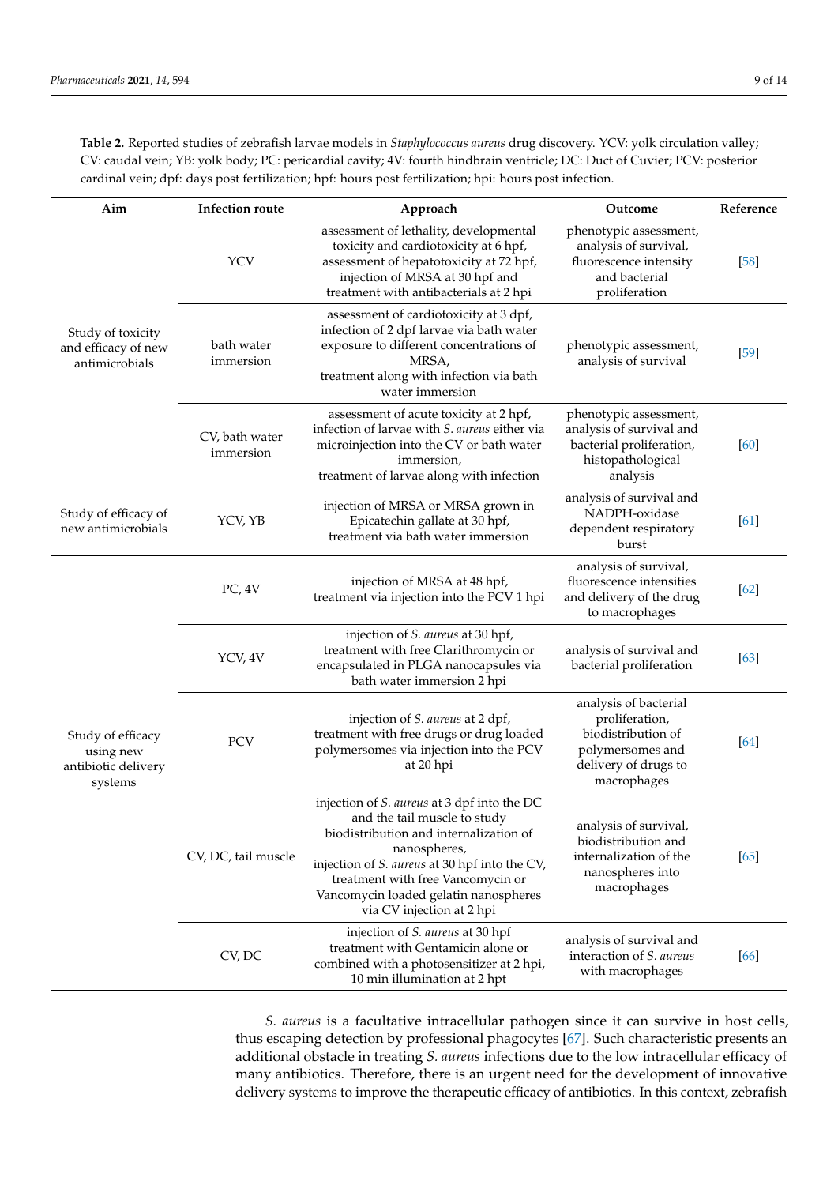<span id="page-8-0"></span>**Table 2.** Reported studies of zebrafish larvae models in *Staphylococcus aureus* drug discovery. YCV: yolk circulation valley; CV: caudal vein; YB: yolk body; PC: pericardial cavity; 4V: fourth hindbrain ventricle; DC: Duct of Cuvier; PCV: posterior cardinal vein; dpf: days post fertilization; hpf: hours post fertilization; hpi: hours post infection.

| Aim                                                              | <b>Infection route</b>      | Approach                                                                                                                                                                                                                                                                                          | Outcome                                                                                                                  | Reference |
|------------------------------------------------------------------|-----------------------------|---------------------------------------------------------------------------------------------------------------------------------------------------------------------------------------------------------------------------------------------------------------------------------------------------|--------------------------------------------------------------------------------------------------------------------------|-----------|
| Study of toxicity<br>and efficacy of new<br>antimicrobials       | <b>YCV</b>                  | assessment of lethality, developmental<br>toxicity and cardiotoxicity at 6 hpf,<br>assessment of hepatotoxicity at 72 hpf,<br>injection of MRSA at 30 hpf and<br>treatment with antibacterials at 2 hpi                                                                                           | phenotypic assessment,<br>analysis of survival,<br>fluorescence intensity<br>and bacterial<br>proliferation              | $[58]$    |
|                                                                  | bath water<br>immersion     | assessment of cardiotoxicity at 3 dpf,<br>infection of 2 dpf larvae via bath water<br>exposure to different concentrations of<br>MRSA,<br>treatment along with infection via bath<br>water immersion                                                                                              | phenotypic assessment,<br>analysis of survival                                                                           | $[59]$    |
|                                                                  | CV, bath water<br>immersion | assessment of acute toxicity at 2 hpf,<br>infection of larvae with S. aureus either via<br>microinjection into the CV or bath water<br>immersion,<br>treatment of larvae along with infection                                                                                                     | phenotypic assessment,<br>analysis of survival and<br>bacterial proliferation,<br>histopathological<br>analysis          | [60]      |
| Study of efficacy of<br>new antimicrobials                       | YCV, YB                     | injection of MRSA or MRSA grown in<br>Epicatechin gallate at 30 hpf,<br>treatment via bath water immersion                                                                                                                                                                                        | analysis of survival and<br>NADPH-oxidase<br>dependent respiratory<br>burst                                              | [61]      |
| Study of efficacy<br>using new<br>antibiotic delivery<br>systems | PC, 4V                      | injection of MRSA at 48 hpf,<br>treatment via injection into the PCV 1 hpi                                                                                                                                                                                                                        | analysis of survival,<br>fluorescence intensities<br>and delivery of the drug<br>to macrophages                          | [62]      |
|                                                                  | YCV, 4V                     | injection of S. aureus at 30 hpf,<br>treatment with free Clarithromycin or<br>encapsulated in PLGA nanocapsules via<br>bath water immersion 2 hpi                                                                                                                                                 | analysis of survival and<br>bacterial proliferation                                                                      | [63]      |
|                                                                  | <b>PCV</b>                  | injection of S. aureus at 2 dpf,<br>treatment with free drugs or drug loaded<br>polymersomes via injection into the PCV<br>at 20 hpi                                                                                                                                                              | analysis of bacterial<br>proliferation,<br>biodistribution of<br>polymersomes and<br>delivery of drugs to<br>macrophages | [64]      |
|                                                                  | CV, DC, tail muscle         | injection of S. aureus at 3 dpf into the DC<br>and the tail muscle to study<br>biodistribution and internalization of<br>nanospheres,<br>injection of S. aureus at 30 hpf into the CV,<br>treatment with free Vancomycin or<br>Vancomycin loaded gelatin nanospheres<br>via CV injection at 2 hpi | analysis of survival,<br>biodistribution and<br>internalization of the<br>nanospheres into<br>macrophages                | [65]      |
|                                                                  | CV, DC                      | injection of S. aureus at 30 hpf<br>treatment with Gentamicin alone or<br>combined with a photosensitizer at 2 hpi,<br>10 min illumination at 2 hpt                                                                                                                                               | analysis of survival and<br>interaction of S. aureus<br>with macrophages                                                 | [66]      |

*S. aureus* is a facultative intracellular pathogen since it can survive in host cells, thus escaping detection by professional phagocytes [\[67\]](#page-13-16). Such characteristic presents an additional obstacle in treating *S. aureus* infections due to the low intracellular efficacy of many antibiotics. Therefore, there is an urgent need for the development of innovative delivery systems to improve the therapeutic efficacy of antibiotics. In this context, zebrafish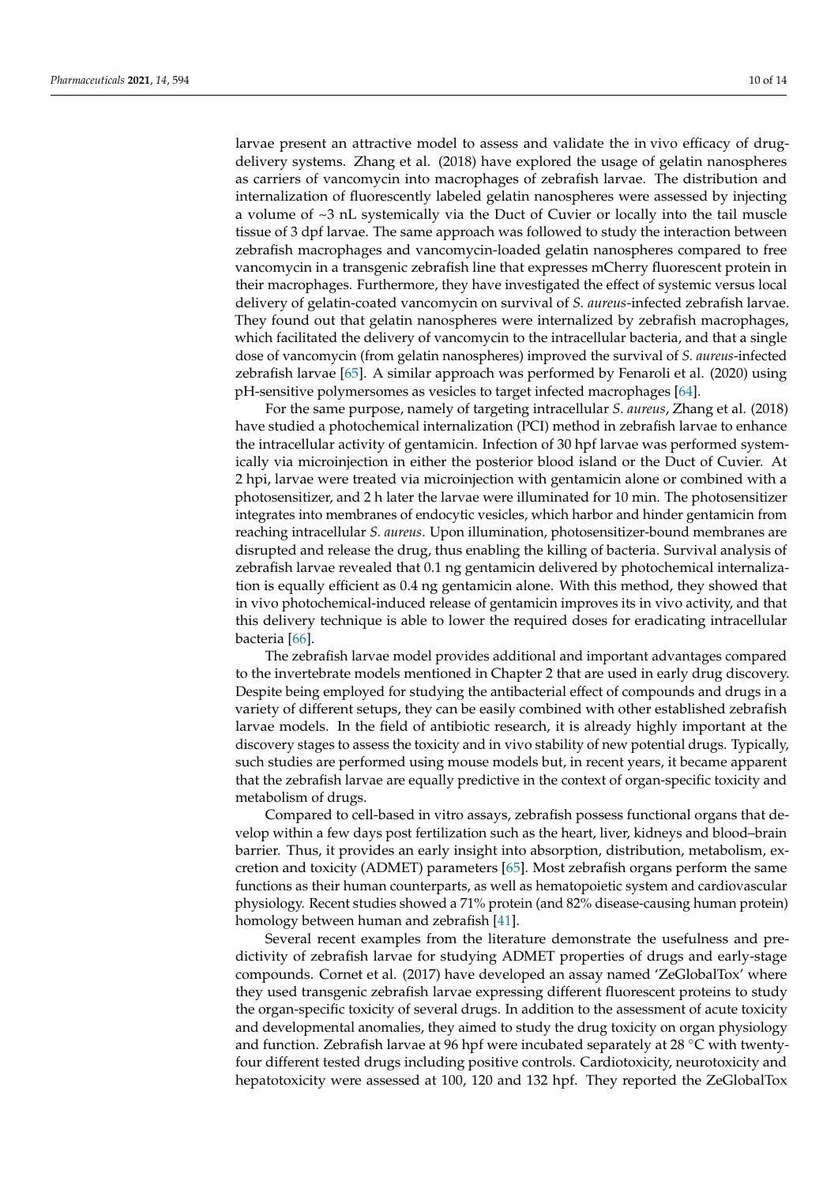larvae present an attractive model to assess and validate the in vivo efficacy of drugdelivery systems. Zhang et al. (2018) have explored the usage of gelatin nanospheres as carriers of vancomycin into macrophages of zebrafish larvae. The distribution and internalization of fluorescently labeled gelatin nanospheres were assessed by injecting a volume of ~3 nL systemically via the Duct of Cuvier or locally into the tail muscle tissue of 3 dpf larvae. The same approach was followed to study the interaction between zebrafish macrophages and vancomycin-loaded gelatin nanospheres compared to free vancomycin in a transgenic zebrafish line that expresses mCherry fluorescent protein in their macrophages. Furthermore, they have investigated the effect of systemic versus local delivery of gelatin-coated vancomycin on survival of *S. aureus*-infected zebrafish larvae. They found out that gelatin nanospheres were internalized by zebrafish macrophages, which facilitated the delivery of vancomycin to the intracellular bacteria, and that a single dose of vancomycin (from gelatin nanospheres) improved the survival of *S. aureus*-infected zebrafish larvae [\[65\]](#page-13-14). A similar approach was performed by Fenaroli et al. (2020) using pH-sensitive polymersomes as vesicles to target infected macrophages [\[64\]](#page-13-13).

For the same purpose, namely of targeting intracellular *S. aureus*, Zhang et al. (2018) have studied a photochemical internalization (PCI) method in zebrafish larvae to enhance the intracellular activity of gentamicin. Infection of 30 hpf larvae was performed systemically via microinjection in either the posterior blood island or the Duct of Cuvier. At 2 hpi, larvae were treated via microinjection with gentamicin alone or combined with a photosensitizer, and 2 h later the larvae were illuminated for 10 min. The photosensitizer integrates into membranes of endocytic vesicles, which harbor and hinder gentamicin from reaching intracellular *S. aureus*. Upon illumination, photosensitizer-bound membranes are disrupted and release the drug, thus enabling the killing of bacteria. Survival analysis of zebrafish larvae revealed that 0.1 ng gentamicin delivered by photochemical internalization is equally efficient as 0.4 ng gentamicin alone. With this method, they showed that in vivo photochemical-induced release of gentamicin improves its in vivo activity, and that this delivery technique is able to lower the required doses for eradicating intracellular bacteria [\[66\]](#page-13-15).

The zebrafish larvae model provides additional and important advantages compared to the invertebrate models mentioned in Chapter 2 that are used in early drug discovery. Despite being employed for studying the antibacterial effect of compounds and drugs in a variety of different setups, they can be easily combined with other established zebrafish larvae models. In the field of antibiotic research, it is already highly important at the discovery stages to assess the toxicity and in vivo stability of new potential drugs. Typically, such studies are performed using mouse models but, in recent years, it became apparent that the zebrafish larvae are equally predictive in the context of organ-specific toxicity and metabolism of drugs.

Compared to cell-based in vitro assays, zebrafish possess functional organs that develop within a few days post fertilization such as the heart, liver, kidneys and blood–brain barrier. Thus, it provides an early insight into absorption, distribution, metabolism, excretion and toxicity (ADMET) parameters [\[65\]](#page-13-14). Most zebrafish organs perform the same functions as their human counterparts, as well as hematopoietic system and cardiovascular physiology. Recent studies showed a 71% protein (and 82% disease-causing human protein) homology between human and zebrafish [\[41\]](#page-12-13).

Several recent examples from the literature demonstrate the usefulness and predictivity of zebrafish larvae for studying ADMET properties of drugs and early-stage compounds. Cornet et al. (2017) have developed an assay named 'ZeGlobalTox' where they used transgenic zebrafish larvae expressing different fluorescent proteins to study the organ-specific toxicity of several drugs. In addition to the assessment of acute toxicity and developmental anomalies, they aimed to study the drug toxicity on organ physiology and function. Zebrafish larvae at 96 hpf were incubated separately at 28  $\degree$ C with twentyfour different tested drugs including positive controls. Cardiotoxicity, neurotoxicity and hepatotoxicity were assessed at 100, 120 and 132 hpf. They reported the ZeGlobalTox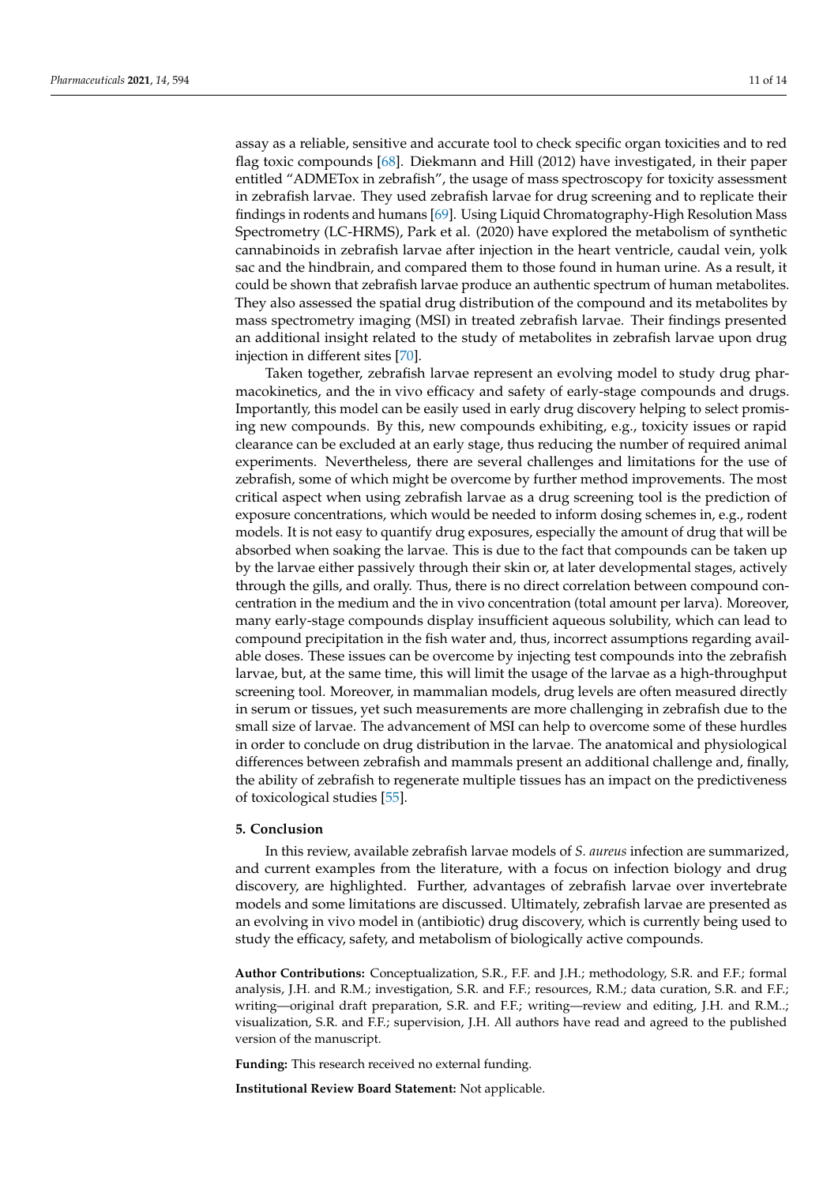assay as a reliable, sensitive and accurate tool to check specific organ toxicities and to red flag toxic compounds [\[68\]](#page-13-17). Diekmann and Hill (2012) have investigated, in their paper entitled "ADMETox in zebrafish", the usage of mass spectroscopy for toxicity assessment in zebrafish larvae. They used zebrafish larvae for drug screening and to replicate their findings in rodents and humans [\[69\]](#page-13-18). Using Liquid Chromatography-High Resolution Mass Spectrometry (LC-HRMS), Park et al. (2020) have explored the metabolism of synthetic cannabinoids in zebrafish larvae after injection in the heart ventricle, caudal vein, yolk sac and the hindbrain, and compared them to those found in human urine. As a result, it could be shown that zebrafish larvae produce an authentic spectrum of human metabolites. They also assessed the spatial drug distribution of the compound and its metabolites by mass spectrometry imaging (MSI) in treated zebrafish larvae. Their findings presented an additional insight related to the study of metabolites in zebrafish larvae upon drug injection in different sites [\[70\]](#page-13-19).

Taken together, zebrafish larvae represent an evolving model to study drug pharmacokinetics, and the in vivo efficacy and safety of early-stage compounds and drugs. Importantly, this model can be easily used in early drug discovery helping to select promising new compounds. By this, new compounds exhibiting, e.g., toxicity issues or rapid clearance can be excluded at an early stage, thus reducing the number of required animal experiments. Nevertheless, there are several challenges and limitations for the use of zebrafish, some of which might be overcome by further method improvements. The most critical aspect when using zebrafish larvae as a drug screening tool is the prediction of exposure concentrations, which would be needed to inform dosing schemes in, e.g., rodent models. It is not easy to quantify drug exposures, especially the amount of drug that will be absorbed when soaking the larvae. This is due to the fact that compounds can be taken up by the larvae either passively through their skin or, at later developmental stages, actively through the gills, and orally. Thus, there is no direct correlation between compound concentration in the medium and the in vivo concentration (total amount per larva). Moreover, many early-stage compounds display insufficient aqueous solubility, which can lead to compound precipitation in the fish water and, thus, incorrect assumptions regarding available doses. These issues can be overcome by injecting test compounds into the zebrafish larvae, but, at the same time, this will limit the usage of the larvae as a high-throughput screening tool. Moreover, in mammalian models, drug levels are often measured directly in serum or tissues, yet such measurements are more challenging in zebrafish due to the small size of larvae. The advancement of MSI can help to overcome some of these hurdles in order to conclude on drug distribution in the larvae. The anatomical and physiological differences between zebrafish and mammals present an additional challenge and, finally, the ability of zebrafish to regenerate multiple tissues has an impact on the predictiveness of toxicological studies [\[55\]](#page-13-4).

# **5. Conclusion**

In this review, available zebrafish larvae models of *S. aureus* infection are summarized, and current examples from the literature, with a focus on infection biology and drug discovery, are highlighted. Further, advantages of zebrafish larvae over invertebrate models and some limitations are discussed. Ultimately, zebrafish larvae are presented as an evolving in vivo model in (antibiotic) drug discovery, which is currently being used to study the efficacy, safety, and metabolism of biologically active compounds.

**Author Contributions:** Conceptualization, S.R., F.F. and J.H.; methodology, S.R. and F.F.; formal analysis, J.H. and R.M.; investigation, S.R. and F.F.; resources, R.M.; data curation, S.R. and F.F.; writing—original draft preparation, S.R. and F.F.; writing—review and editing, J.H. and R.M..; visualization, S.R. and F.F.; supervision, J.H. All authors have read and agreed to the published version of the manuscript.

**Funding:** This research received no external funding.

**Institutional Review Board Statement:** Not applicable.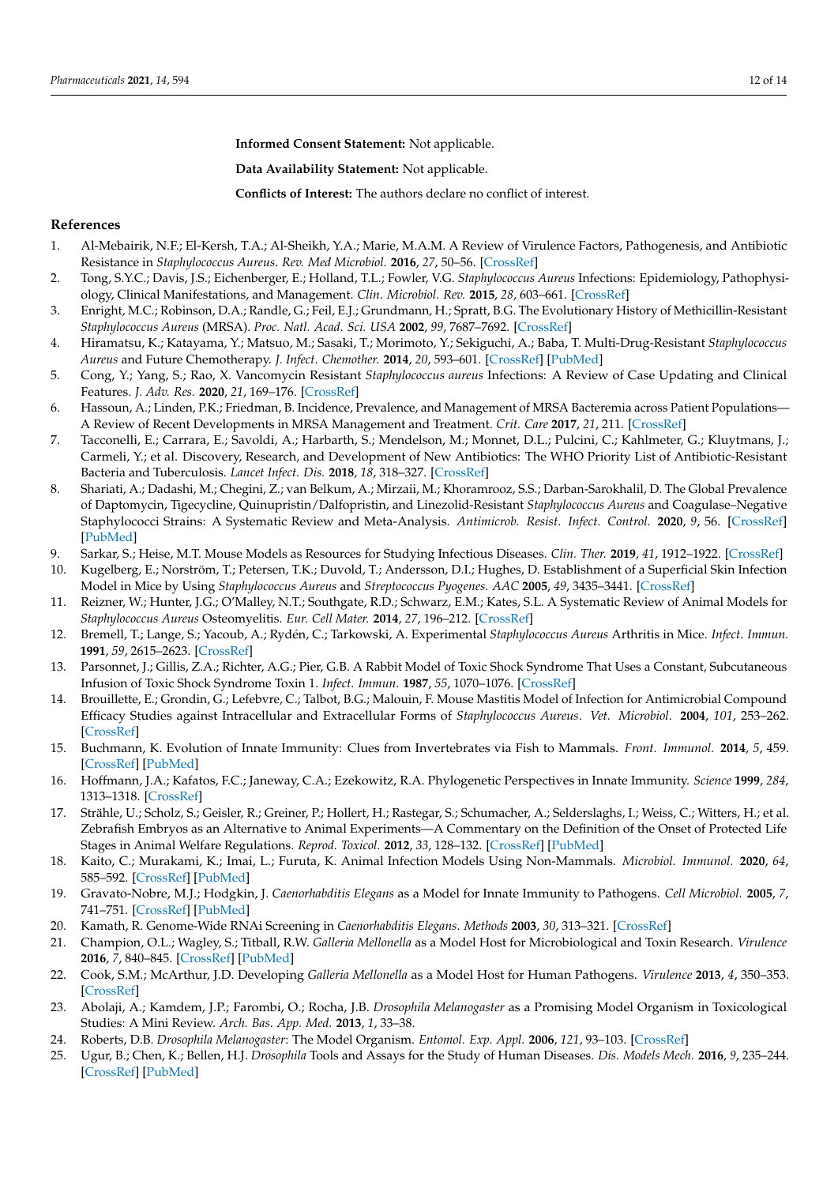**Informed Consent Statement:** Not applicable.

**Data Availability Statement:** Not applicable.

**Conflicts of Interest:** The authors declare no conflict of interest.

## **References**

- <span id="page-11-0"></span>1. Al-Mebairik, N.F.; El-Kersh, T.A.; Al-Sheikh, Y.A.; Marie, M.A.M. A Review of Virulence Factors, Pathogenesis, and Antibiotic Resistance in *Staphylococcus Aureus*. *Rev. Med Microbiol.* **2016**, *27*, 50–56. [\[CrossRef\]](http://doi.org/10.1097/MRM.0000000000000067)
- <span id="page-11-1"></span>2. Tong, S.Y.C.; Davis, J.S.; Eichenberger, E.; Holland, T.L.; Fowler, V.G. *Staphylococcus Aureus* Infections: Epidemiology, Pathophysiology, Clinical Manifestations, and Management. *Clin. Microbiol. Rev.* **2015**, *28*, 603–661. [\[CrossRef\]](http://doi.org/10.1128/CMR.00134-14)
- <span id="page-11-2"></span>3. Enright, M.C.; Robinson, D.A.; Randle, G.; Feil, E.J.; Grundmann, H.; Spratt, B.G. The Evolutionary History of Methicillin-Resistant *Staphylococcus Aureus* (MRSA). *Proc. Natl. Acad. Sci. USA* **2002**, *99*, 7687–7692. [\[CrossRef\]](http://doi.org/10.1073/pnas.122108599)
- <span id="page-11-3"></span>4. Hiramatsu, K.; Katayama, Y.; Matsuo, M.; Sasaki, T.; Morimoto, Y.; Sekiguchi, A.; Baba, T. Multi-Drug-Resistant *Staphylococcus Aureus* and Future Chemotherapy. *J. Infect. Chemother.* **2014**, *20*, 593–601. [\[CrossRef\]](http://doi.org/10.1016/j.jiac.2014.08.001) [\[PubMed\]](http://www.ncbi.nlm.nih.gov/pubmed/25172776)
- <span id="page-11-4"></span>5. Cong, Y.; Yang, S.; Rao, X. Vancomycin Resistant *Staphylococcus aureus* Infections: A Review of Case Updating and Clinical Features. *J. Adv. Res.* **2020**, *21*, 169–176. [\[CrossRef\]](http://doi.org/10.1016/j.jare.2019.10.005)
- <span id="page-11-5"></span>6. Hassoun, A.; Linden, P.K.; Friedman, B. Incidence, Prevalence, and Management of MRSA Bacteremia across Patient Populations— A Review of Recent Developments in MRSA Management and Treatment. *Crit. Care* **2017**, *21*, 211. [\[CrossRef\]](http://doi.org/10.1186/s13054-017-1801-3)
- <span id="page-11-6"></span>7. Tacconelli, E.; Carrara, E.; Savoldi, A.; Harbarth, S.; Mendelson, M.; Monnet, D.L.; Pulcini, C.; Kahlmeter, G.; Kluytmans, J.; Carmeli, Y.; et al. Discovery, Research, and Development of New Antibiotics: The WHO Priority List of Antibiotic-Resistant Bacteria and Tuberculosis. *Lancet Infect. Dis.* **2018**, *18*, 318–327. [\[CrossRef\]](http://doi.org/10.1016/S1473-3099(17)30753-3)
- <span id="page-11-7"></span>8. Shariati, A.; Dadashi, M.; Chegini, Z.; van Belkum, A.; Mirzaii, M.; Khoramrooz, S.S.; Darban-Sarokhalil, D. The Global Prevalence of Daptomycin, Tigecycline, Quinupristin/Dalfopristin, and Linezolid-Resistant *Staphylococcus Aureus* and Coagulase–Negative Staphylococci Strains: A Systematic Review and Meta-Analysis. *Antimicrob. Resist. Infect. Control.* **2020**, *9*, 56. [\[CrossRef\]](http://doi.org/10.1186/s13756-020-00714-9) [\[PubMed\]](http://www.ncbi.nlm.nih.gov/pubmed/32321574)
- <span id="page-11-8"></span>9. Sarkar, S.; Heise, M.T. Mouse Models as Resources for Studying Infectious Diseases. *Clin. Ther.* **2019**, *41*, 1912–1922. [\[CrossRef\]](http://doi.org/10.1016/j.clinthera.2019.08.010)
- <span id="page-11-9"></span>10. Kugelberg, E.; Norström, T.; Petersen, T.K.; Duvold, T.; Andersson, D.I.; Hughes, D. Establishment of a Superficial Skin Infection Model in Mice by Using *Staphylococcus Aureus* and *Streptococcus Pyogenes*. *AAC* **2005**, *49*, 3435–3441. [\[CrossRef\]](http://doi.org/10.1128/AAC.49.8.3435-3441.2005)
- 11. Reizner, W.; Hunter, J.G.; O'Malley, N.T.; Southgate, R.D.; Schwarz, E.M.; Kates, S.L. A Systematic Review of Animal Models for *Staphylococcus Aureus* Osteomyelitis. *Eur. Cell Mater.* **2014**, *27*, 196–212. [\[CrossRef\]](http://doi.org/10.22203/eCM.v027a15)
- 12. Bremell, T.; Lange, S.; Yacoub, A.; Rydén, C.; Tarkowski, A. Experimental *Staphylococcus Aureus* Arthritis in Mice. *Infect. Immun.* **1991**, *59*, 2615–2623. [\[CrossRef\]](http://doi.org/10.1128/iai.59.8.2615-2623.1991)
- 13. Parsonnet, J.; Gillis, Z.A.; Richter, A.G.; Pier, G.B. A Rabbit Model of Toxic Shock Syndrome That Uses a Constant, Subcutaneous Infusion of Toxic Shock Syndrome Toxin 1. *Infect. Immun.* **1987**, *55*, 1070–1076. [\[CrossRef\]](http://doi.org/10.1128/iai.55.5.1070-1076.1987)
- <span id="page-11-10"></span>14. Brouillette, E.; Grondin, G.; Lefebvre, C.; Talbot, B.G.; Malouin, F. Mouse Mastitis Model of Infection for Antimicrobial Compound Efficacy Studies against Intracellular and Extracellular Forms of *Staphylococcus Aureus*. *Vet. Microbiol.* **2004**, *101*, 253–262. [\[CrossRef\]](http://doi.org/10.1016/j.vetmic.2004.04.008)
- <span id="page-11-11"></span>15. Buchmann, K. Evolution of Innate Immunity: Clues from Invertebrates via Fish to Mammals. *Front. Immunol.* **2014**, *5*, 459. [\[CrossRef\]](http://doi.org/10.3389/fimmu.2014.00459) [\[PubMed\]](http://www.ncbi.nlm.nih.gov/pubmed/25295041)
- <span id="page-11-12"></span>16. Hoffmann, J.A.; Kafatos, F.C.; Janeway, C.A.; Ezekowitz, R.A. Phylogenetic Perspectives in Innate Immunity. *Science* **1999**, *284*, 1313–1318. [\[CrossRef\]](http://doi.org/10.1126/science.284.5418.1313)
- <span id="page-11-13"></span>17. Strähle, U.; Scholz, S.; Geisler, R.; Greiner, P.; Hollert, H.; Rastegar, S.; Schumacher, A.; Selderslaghs, I.; Weiss, C.; Witters, H.; et al. Zebrafish Embryos as an Alternative to Animal Experiments—A Commentary on the Definition of the Onset of Protected Life Stages in Animal Welfare Regulations. *Reprod. Toxicol.* **2012**, *33*, 128–132. [\[CrossRef\]](http://doi.org/10.1016/j.reprotox.2011.06.121) [\[PubMed\]](http://www.ncbi.nlm.nih.gov/pubmed/21726626)
- <span id="page-11-14"></span>18. Kaito, C.; Murakami, K.; Imai, L.; Furuta, K. Animal Infection Models Using Non-Mammals. *Microbiol. Immunol.* **2020**, *64*, 585–592. [\[CrossRef\]](http://doi.org/10.1111/1348-0421.12834) [\[PubMed\]](http://www.ncbi.nlm.nih.gov/pubmed/32757288)
- <span id="page-11-15"></span>19. Gravato-Nobre, M.J.; Hodgkin, J. *Caenorhabditis Elegans* as a Model for Innate Immunity to Pathogens. *Cell Microbiol.* **2005**, *7*, 741–751. [\[CrossRef\]](http://doi.org/10.1111/j.1462-5822.2005.00523.x) [\[PubMed\]](http://www.ncbi.nlm.nih.gov/pubmed/15888078)
- <span id="page-11-16"></span>20. Kamath, R. Genome-Wide RNAi Screening in *Caenorhabditis Elegans*. *Methods* **2003**, *30*, 313–321. [\[CrossRef\]](http://doi.org/10.1016/S1046-2023(03)00050-1)
- <span id="page-11-17"></span>21. Champion, O.L.; Wagley, S.; Titball, R.W. *Galleria Mellonella* as a Model Host for Microbiological and Toxin Research. *Virulence* **2016**, *7*, 840–845. [\[CrossRef\]](http://doi.org/10.1080/21505594.2016.1203486) [\[PubMed\]](http://www.ncbi.nlm.nih.gov/pubmed/27362761)
- <span id="page-11-18"></span>22. Cook, S.M.; McArthur, J.D. Developing *Galleria Mellonella* as a Model Host for Human Pathogens. *Virulence* **2013**, *4*, 350–353. [\[CrossRef\]](http://doi.org/10.4161/viru.25240)
- <span id="page-11-19"></span>23. Abolaji, A.; Kamdem, J.P.; Farombi, O.; Rocha, J.B. *Drosophila Melanogaster* as a Promising Model Organism in Toxicological Studies: A Mini Review. *Arch. Bas. App. Med.* **2013**, *1*, 33–38.
- <span id="page-11-20"></span>24. Roberts, D.B. *Drosophila Melanogaster*: The Model Organism. *Entomol. Exp. Appl.* **2006**, *121*, 93–103. [\[CrossRef\]](http://doi.org/10.1111/j.1570-8703.2006.00474.x)
- <span id="page-11-21"></span>25. Ugur, B.; Chen, K.; Bellen, H.J. *Drosophila* Tools and Assays for the Study of Human Diseases. *Dis. Models Mech.* **2016**, *9*, 235–244. [\[CrossRef\]](http://doi.org/10.1242/dmm.023762) [\[PubMed\]](http://www.ncbi.nlm.nih.gov/pubmed/26935102)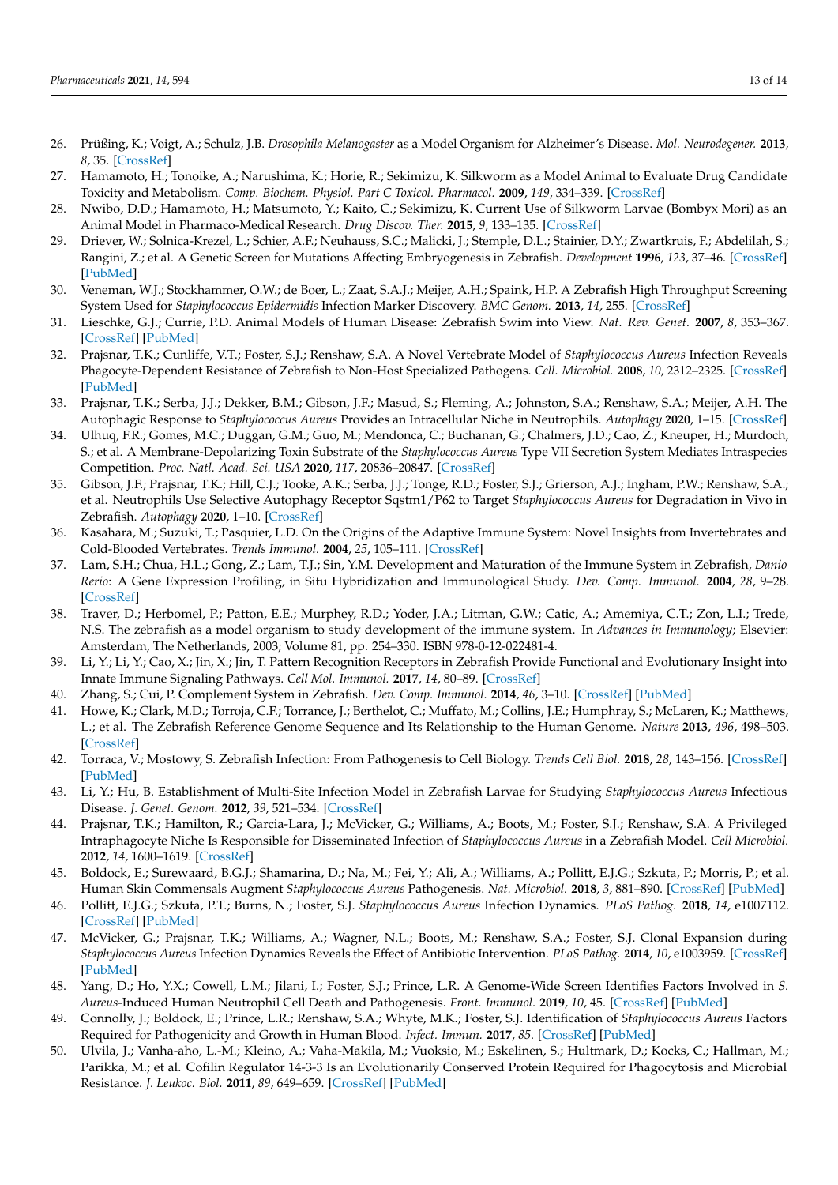- <span id="page-12-0"></span>26. Prüßing, K.; Voigt, A.; Schulz, J.B. *Drosophila Melanogaster* as a Model Organism for Alzheimer's Disease. *Mol. Neurodegener.* **2013**, *8*, 35. [\[CrossRef\]](http://doi.org/10.1186/1750-1326-8-35)
- <span id="page-12-1"></span>27. Hamamoto, H.; Tonoike, A.; Narushima, K.; Horie, R.; Sekimizu, K. Silkworm as a Model Animal to Evaluate Drug Candidate Toxicity and Metabolism. *Comp. Biochem. Physiol. Part C Toxicol. Pharmacol.* **2009**, *149*, 334–339. [\[CrossRef\]](http://doi.org/10.1016/j.cbpc.2008.08.008)
- <span id="page-12-2"></span>28. Nwibo, D.D.; Hamamoto, H.; Matsumoto, Y.; Kaito, C.; Sekimizu, K. Current Use of Silkworm Larvae (Bombyx Mori) as an Animal Model in Pharmaco-Medical Research. *Drug Discov. Ther.* **2015**, *9*, 133–135. [\[CrossRef\]](http://doi.org/10.5582/ddt.2015.01026)
- <span id="page-12-3"></span>29. Driever, W.; Solnica-Krezel, L.; Schier, A.F.; Neuhauss, S.C.; Malicki, J.; Stemple, D.L.; Stainier, D.Y.; Zwartkruis, F.; Abdelilah, S.; Rangini, Z.; et al. A Genetic Screen for Mutations Affecting Embryogenesis in Zebrafish. *Development* **1996**, *123*, 37–46. [\[CrossRef\]](http://doi.org/10.1242/dev.123.1.37) [\[PubMed\]](http://www.ncbi.nlm.nih.gov/pubmed/9007227)
- <span id="page-12-4"></span>30. Veneman, W.J.; Stockhammer, O.W.; de Boer, L.; Zaat, S.A.J.; Meijer, A.H.; Spaink, H.P. A Zebrafish High Throughput Screening System Used for *Staphylococcus Epidermidis* Infection Marker Discovery. *BMC Genom.* **2013**, *14*, 255. [\[CrossRef\]](http://doi.org/10.1186/1471-2164-14-255)
- <span id="page-12-5"></span>31. Lieschke, G.J.; Currie, P.D. Animal Models of Human Disease: Zebrafish Swim into View. *Nat. Rev. Genet.* **2007**, *8*, 353–367. [\[CrossRef\]](http://doi.org/10.1038/nrg2091) [\[PubMed\]](http://www.ncbi.nlm.nih.gov/pubmed/17440532)
- <span id="page-12-6"></span>32. Prajsnar, T.K.; Cunliffe, V.T.; Foster, S.J.; Renshaw, S.A. A Novel Vertebrate Model of *Staphylococcus Aureus* Infection Reveals Phagocyte-Dependent Resistance of Zebrafish to Non-Host Specialized Pathogens. *Cell. Microbiol.* **2008**, *10*, 2312–2325. [\[CrossRef\]](http://doi.org/10.1111/j.1462-5822.2008.01213.x) [\[PubMed\]](http://www.ncbi.nlm.nih.gov/pubmed/18715285)
- <span id="page-12-18"></span>33. Prajsnar, T.K.; Serba, J.J.; Dekker, B.M.; Gibson, J.F.; Masud, S.; Fleming, A.; Johnston, S.A.; Renshaw, S.A.; Meijer, A.H. The Autophagic Response to *Staphylococcus Aureus* Provides an Intracellular Niche in Neutrophils. *Autophagy* **2020**, 1–15. [\[CrossRef\]](http://doi.org/10.1080/15548627.2020.1739443)
- <span id="page-12-24"></span>34. Ulhuq, F.R.; Gomes, M.C.; Duggan, G.M.; Guo, M.; Mendonca, C.; Buchanan, G.; Chalmers, J.D.; Cao, Z.; Kneuper, H.; Murdoch, S.; et al. A Membrane-Depolarizing Toxin Substrate of the *Staphylococcus Aureus* Type VII Secretion System Mediates Intraspecies Competition. *Proc. Natl. Acad. Sci. USA* **2020**, *117*, 20836–20847. [\[CrossRef\]](http://doi.org/10.1073/pnas.2006110117)
- <span id="page-12-7"></span>35. Gibson, J.F.; Prajsnar, T.K.; Hill, C.J.; Tooke, A.K.; Serba, J.J.; Tonge, R.D.; Foster, S.J.; Grierson, A.J.; Ingham, P.W.; Renshaw, S.A.; et al. Neutrophils Use Selective Autophagy Receptor Sqstm1/P62 to Target *Staphylococcus Aureus* for Degradation in Vivo in Zebrafish. *Autophagy* **2020**, 1–10. [\[CrossRef\]](http://doi.org/10.1080/15548627.2020.1765521)
- <span id="page-12-8"></span>36. Kasahara, M.; Suzuki, T.; Pasquier, L.D. On the Origins of the Adaptive Immune System: Novel Insights from Invertebrates and Cold-Blooded Vertebrates. *Trends Immunol.* **2004**, *25*, 105–111. [\[CrossRef\]](http://doi.org/10.1016/j.it.2003.11.005)
- <span id="page-12-9"></span>37. Lam, S.H.; Chua, H.L.; Gong, Z.; Lam, T.J.; Sin, Y.M. Development and Maturation of the Immune System in Zebrafish, *Danio Rerio*: A Gene Expression Profiling, in Situ Hybridization and Immunological Study. *Dev. Comp. Immunol.* **2004**, *28*, 9–28. [\[CrossRef\]](http://doi.org/10.1016/S0145-305X(03)00103-4)
- <span id="page-12-10"></span>38. Traver, D.; Herbomel, P.; Patton, E.E.; Murphey, R.D.; Yoder, J.A.; Litman, G.W.; Catic, A.; Amemiya, C.T.; Zon, L.I.; Trede, N.S. The zebrafish as a model organism to study development of the immune system. In *Advances in Immunology*; Elsevier: Amsterdam, The Netherlands, 2003; Volume 81, pp. 254–330. ISBN 978-0-12-022481-4.
- <span id="page-12-11"></span>39. Li, Y.; Li, Y.; Cao, X.; Jin, X.; Jin, T. Pattern Recognition Receptors in Zebrafish Provide Functional and Evolutionary Insight into Innate Immune Signaling Pathways. *Cell Mol. Immunol.* **2017**, *14*, 80–89. [\[CrossRef\]](http://doi.org/10.1038/cmi.2016.50)
- <span id="page-12-12"></span>40. Zhang, S.; Cui, P. Complement System in Zebrafish. *Dev. Comp. Immunol.* **2014**, *46*, 3–10. [\[CrossRef\]](http://doi.org/10.1016/j.dci.2014.01.010) [\[PubMed\]](http://www.ncbi.nlm.nih.gov/pubmed/24462834)
- <span id="page-12-13"></span>41. Howe, K.; Clark, M.D.; Torroja, C.F.; Torrance, J.; Berthelot, C.; Muffato, M.; Collins, J.E.; Humphray, S.; McLaren, K.; Matthews, L.; et al. The Zebrafish Reference Genome Sequence and Its Relationship to the Human Genome. *Nature* **2013**, *496*, 498–503. [\[CrossRef\]](http://doi.org/10.1038/nature12111)
- <span id="page-12-14"></span>42. Torraca, V.; Mostowy, S. Zebrafish Infection: From Pathogenesis to Cell Biology. *Trends Cell Biol.* **2018**, *28*, 143–156. [\[CrossRef\]](http://doi.org/10.1016/j.tcb.2017.10.002) [\[PubMed\]](http://www.ncbi.nlm.nih.gov/pubmed/29173800)
- <span id="page-12-15"></span>43. Li, Y.; Hu, B. Establishment of Multi-Site Infection Model in Zebrafish Larvae for Studying *Staphylococcus Aureus* Infectious Disease. *J. Genet. Genom.* **2012**, *39*, 521–534. [\[CrossRef\]](http://doi.org/10.1016/j.jgg.2012.07.006)
- <span id="page-12-16"></span>44. Prajsnar, T.K.; Hamilton, R.; Garcia-Lara, J.; McVicker, G.; Williams, A.; Boots, M.; Foster, S.J.; Renshaw, S.A. A Privileged Intraphagocyte Niche Is Responsible for Disseminated Infection of *Staphylococcus Aureus* in a Zebrafish Model. *Cell Microbiol.* **2012**, *14*, 1600–1619. [\[CrossRef\]](http://doi.org/10.1111/j.1462-5822.2012.01826.x)
- <span id="page-12-17"></span>45. Boldock, E.; Surewaard, B.G.J.; Shamarina, D.; Na, M.; Fei, Y.; Ali, A.; Williams, A.; Pollitt, E.J.G.; Szkuta, P.; Morris, P.; et al. Human Skin Commensals Augment *Staphylococcus Aureus* Pathogenesis. *Nat. Microbiol.* **2018**, *3*, 881–890. [\[CrossRef\]](http://doi.org/10.1038/s41564-018-0198-3) [\[PubMed\]](http://www.ncbi.nlm.nih.gov/pubmed/30013237)
- <span id="page-12-19"></span>46. Pollitt, E.J.G.; Szkuta, P.T.; Burns, N.; Foster, S.J. *Staphylococcus Aureus* Infection Dynamics. *PLoS Pathog.* **2018**, *14*, e1007112. [\[CrossRef\]](http://doi.org/10.1371/journal.ppat.1007112) [\[PubMed\]](http://www.ncbi.nlm.nih.gov/pubmed/29902272)
- <span id="page-12-20"></span>47. McVicker, G.; Prajsnar, T.K.; Williams, A.; Wagner, N.L.; Boots, M.; Renshaw, S.A.; Foster, S.J. Clonal Expansion during *Staphylococcus Aureus* Infection Dynamics Reveals the Effect of Antibiotic Intervention. *PLoS Pathog.* **2014**, *10*, e1003959. [\[CrossRef\]](http://doi.org/10.1371/journal.ppat.1003959) [\[PubMed\]](http://www.ncbi.nlm.nih.gov/pubmed/24586163)
- <span id="page-12-21"></span>48. Yang, D.; Ho, Y.X.; Cowell, L.M.; Jilani, I.; Foster, S.J.; Prince, L.R. A Genome-Wide Screen Identifies Factors Involved in *S. Aureus*-Induced Human Neutrophil Cell Death and Pathogenesis. *Front. Immunol.* **2019**, *10*, 45. [\[CrossRef\]](http://doi.org/10.3389/fimmu.2019.00045) [\[PubMed\]](http://www.ncbi.nlm.nih.gov/pubmed/30766531)
- <span id="page-12-22"></span>49. Connolly, J.; Boldock, E.; Prince, L.R.; Renshaw, S.A.; Whyte, M.K.; Foster, S.J. Identification of *Staphylococcus Aureus* Factors Required for Pathogenicity and Growth in Human Blood. *Infect. Immun.* **2017**, *85*. [\[CrossRef\]](http://doi.org/10.1128/IAI.00337-17) [\[PubMed\]](http://www.ncbi.nlm.nih.gov/pubmed/28808156)
- <span id="page-12-23"></span>50. Ulvila, J.; Vanha-aho, L.-M.; Kleino, A.; Vaha-Makila, M.; Vuoksio, M.; Eskelinen, S.; Hultmark, D.; Kocks, C.; Hallman, M.; Parikka, M.; et al. Cofilin Regulator 14-3-3 Is an Evolutionarily Conserved Protein Required for Phagocytosis and Microbial Resistance. *J. Leukoc. Biol.* **2011**, *89*, 649–659. [\[CrossRef\]](http://doi.org/10.1189/jlb.0410195) [\[PubMed\]](http://www.ncbi.nlm.nih.gov/pubmed/21208897)